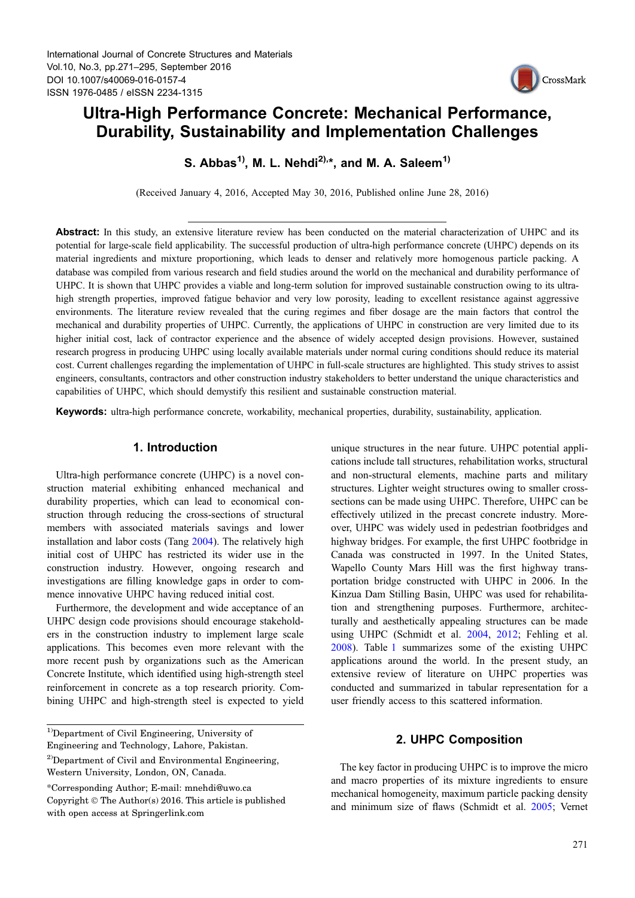

## Ultra-High Performance Concrete: Mechanical Performance, Durability, Sustainability and Implementation Challenges

S. Abbas<sup>1)</sup>, M. L. Nehdi<sup>2),\*</sup>, and M. A. Saleem<sup>1)</sup>

(Received January 4, 2016, Accepted May 30, 2016, Published online June 28, 2016)

Abstract: In this study, an extensive literature review has been conducted on the material characterization of UHPC and its potential for large-scale field applicability. The successful production of ultra-high performance concrete (UHPC) depends on its material ingredients and mixture proportioning, which leads to denser and relatively more homogenous particle packing. A database was compiled from various research and field studies around the world on the mechanical and durability performance of UHPC. It is shown that UHPC provides a viable and long-term solution for improved sustainable construction owing to its ultrahigh strength properties, improved fatigue behavior and very low porosity, leading to excellent resistance against aggressive environments. The literature review revealed that the curing regimes and fiber dosage are the main factors that control the mechanical and durability properties of UHPC. Currently, the applications of UHPC in construction are very limited due to its higher initial cost, lack of contractor experience and the absence of widely accepted design provisions. However, sustained research progress in producing UHPC using locally available materials under normal curing conditions should reduce its material cost. Current challenges regarding the implementation of UHPC in full-scale structures are highlighted. This study strives to assist engineers, consultants, contractors and other construction industry stakeholders to better understand the unique characteristics and capabilities of UHPC, which should demystify this resilient and sustainable construction material.

Keywords: ultra-high performance concrete, workability, mechanical properties, durability, sustainability, application.

## 1. Introduction

Ultra-high performance concrete (UHPC) is a novel construction material exhibiting enhanced mechanical and durability properties, which can lead to economical construction through reducing the cross-sections of structural members with associated materials savings and lower installation and labor costs (Tang [2004](#page-23-0)). The relatively high initial cost of UHPC has restricted its wider use in the construction industry. However, ongoing research and investigations are filling knowledge gaps in order to commence innovative UHPC having reduced initial cost.

Furthermore, the development and wide acceptance of an UHPC design code provisions should encourage stakeholders in the construction industry to implement large scale applications. This becomes even more relevant with the more recent push by organizations such as the American Concrete Institute, which identified using high-strength steel reinforcement in concrete as a top research priority. Combining UHPC and high-strength steel is expected to yield unique structures in the near future. UHPC potential applications include tall structures, rehabilitation works, structural and non-structural elements, machine parts and military structures. Lighter weight structures owing to smaller crosssections can be made using UHPC. Therefore, UHPC can be effectively utilized in the precast concrete industry. Moreover, UHPC was widely used in pedestrian footbridges and highway bridges. For example, the first UHPC footbridge in Canada was constructed in 1997. In the United States, Wapello County Mars Hill was the first highway transportation bridge constructed with UHPC in 2006. In the Kinzua Dam Stilling Basin, UHPC was used for rehabilitation and strengthening purposes. Furthermore, architecturally and aesthetically appealing structures can be made using UHPC (Schmidt et al. [2004,](#page-22-0) [2012;](#page-22-0) Fehling et al. [2008](#page-19-0)). Table [1](#page-2-0) summarizes some of the existing UHPC applications around the world. In the present study, an extensive review of literature on UHPC properties was conducted and summarized in tabular representation for a user friendly access to this scattered information.

## 2. UHPC Composition

The key factor in producing UHPC is to improve the micro and macro properties of its mixture ingredients to ensure mechanical homogeneity, maximum particle packing density and minimum size of flaws (Schmidt et al. [2005](#page-22-0); Vernet

<sup>&</sup>lt;sup>1)</sup>Department of Civil Engineering, University of

Engineering and Technology, Lahore, Pakistan.

<sup>&</sup>lt;sup>2)</sup>Department of Civil and Environmental Engineering, Western University, London, ON, Canada.

<sup>\*</sup>Corresponding Author; E-mail: mnehdi@uwo.ca Copyright  $\circ$  The Author(s) 2016. This article is published with open access at Springerlink.com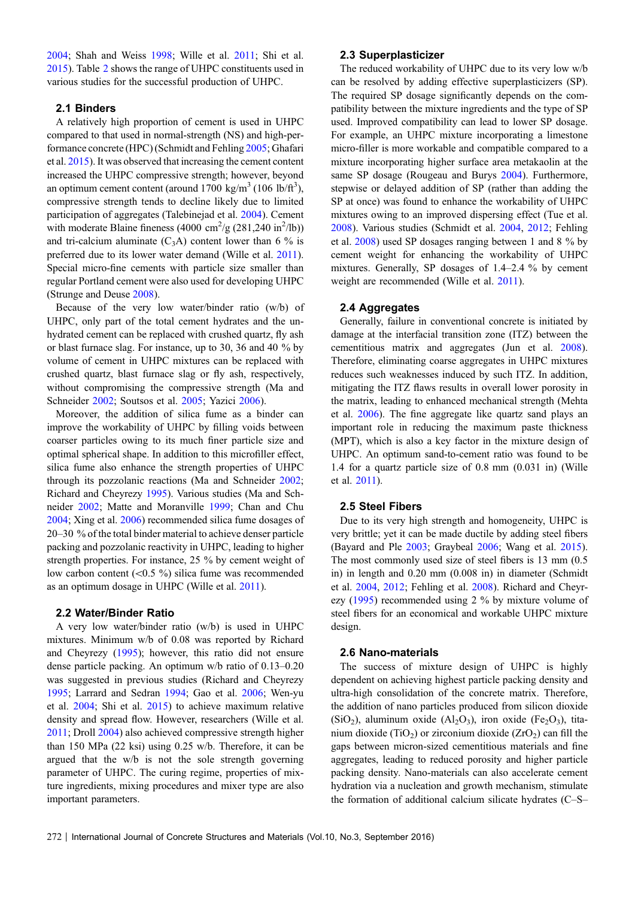[2004;](#page-23-0) Shah and Weiss [1998;](#page-22-0) Wille et al. [2011](#page-23-0); Shi et al. [2015\)](#page-22-0). Table [2](#page-3-0) shows the range of UHPC constituents used in various studies for the successful production of UHPC.

#### 2.1 Binders

A relatively high proportion of cement is used in UHPC compared to that used in normal-strength (NS) and high-performance concrete (HPC) (Schmidt and Fehling [2005;](#page-22-0) Ghafari et al. [2015\)](#page-19-0). It was observed that increasing the cement content increased the UHPC compressive strength; however, beyond an optimum cement content (around  $1700 \text{ kg/m}^3$  (106 lb/ft<sup>3</sup>), compressive strength tends to decline likely due to limited participation of aggregates (Talebinejad et al. [2004\)](#page-23-0). Cement with moderate Blaine fineness  $(4000 \text{ cm}^2/\text{g} (281,240 \text{ in}^2/\text{lb}))$ and tri-calcium aluminate  $(C_3A)$  content lower than 6 % is preferred due to its lower water demand (Wille et al. [2011](#page-23-0)). Special micro-fine cements with particle size smaller than regular Portland cement were also used for developing UHPC (Strunge and Deuse [2008](#page-23-0)).

Because of the very low water/binder ratio (w/b) of UHPC, only part of the total cement hydrates and the unhydrated cement can be replaced with crushed quartz, fly ash or blast furnace slag. For instance, up to 30, 36 and 40 % by volume of cement in UHPC mixtures can be replaced with crushed quartz, blast furnace slag or fly ash, respectively, without compromising the compressive strength (Ma and Schneider [2002;](#page-21-0) Soutsos et al. [2005](#page-23-0); Yazici [2006](#page-23-0)).

Moreover, the addition of silica fume as a binder can improve the workability of UHPC by filling voids between coarser particles owing to its much finer particle size and optimal spherical shape. In addition to this microfiller effect, silica fume also enhance the strength properties of UHPC through its pozzolanic reactions (Ma and Schneider [2002](#page-21-0); Richard and Cheyrezy [1995\)](#page-22-0). Various studies (Ma and Schneider [2002](#page-21-0); Matte and Moranville [1999](#page-21-0); Chan and Chu [2004;](#page-18-0) Xing et al. [2006\)](#page-23-0) recommended silica fume dosages of 20–30 % of the total binder material to achieve denser particle packing and pozzolanic reactivity in UHPC, leading to higher strength properties. For instance, 25 % by cement weight of low carbon content  $(<0.5 \%)$  silica fume was recommended as an optimum dosage in UHPC (Wille et al. [2011](#page-23-0)).

#### 2.2 Water/Binder Ratio

A very low water/binder ratio (w/b) is used in UHPC mixtures. Minimum w/b of 0.08 was reported by Richard and Cheyrezy [\(1995](#page-22-0)); however, this ratio did not ensure dense particle packing. An optimum w/b ratio of 0.13–0.20 was suggested in previous studies (Richard and Cheyrezy [1995;](#page-22-0) Larrard and Sedran [1994](#page-20-0); Gao et al. [2006;](#page-19-0) Wen-yu et al. [2004;](#page-23-0) Shi et al. [2015\)](#page-22-0) to achieve maximum relative density and spread flow. However, researchers (Wille et al. [2011;](#page-23-0) Droll [2004\)](#page-19-0) also achieved compressive strength higher than 150 MPa (22 ksi) using 0.25 w/b. Therefore, it can be argued that the w/b is not the sole strength governing parameter of UHPC. The curing regime, properties of mixture ingredients, mixing procedures and mixer type are also important parameters.

#### 2.3 Superplasticizer

The reduced workability of UHPC due to its very low w/b can be resolved by adding effective superplasticizers (SP). The required SP dosage significantly depends on the compatibility between the mixture ingredients and the type of SP used. Improved compatibility can lead to lower SP dosage. For example, an UHPC mixture incorporating a limestone micro-filler is more workable and compatible compared to a mixture incorporating higher surface area metakaolin at the same SP dosage (Rougeau and Burys [2004\)](#page-22-0). Furthermore, stepwise or delayed addition of SP (rather than adding the SP at once) was found to enhance the workability of UHPC mixtures owing to an improved dispersing effect (Tue et al. [2008](#page-23-0)). Various studies (Schmidt et al. [2004,](#page-22-0) [2012;](#page-22-0) Fehling et al. [2008\)](#page-19-0) used SP dosages ranging between 1 and 8 % by cement weight for enhancing the workability of UHPC mixtures. Generally, SP dosages of 1.4–2.4 % by cement weight are recommended (Wille et al. [2011](#page-23-0)).

#### 2.4 Aggregates

Generally, failure in conventional concrete is initiated by damage at the interfacial transition zone (ITZ) between the cementitious matrix and aggregates (Jun et al. [2008\)](#page-20-0). Therefore, eliminating coarse aggregates in UHPC mixtures reduces such weaknesses induced by such ITZ. In addition, mitigating the ITZ flaws results in overall lower porosity in the matrix, leading to enhanced mechanical strength (Mehta et al. [2006](#page-21-0)). The fine aggregate like quartz sand plays an important role in reducing the maximum paste thickness (MPT), which is also a key factor in the mixture design of UHPC. An optimum sand-to-cement ratio was found to be 1.4 for a quartz particle size of 0.8 mm (0.031 in) (Wille et al. [2011](#page-23-0)).

#### 2.5 Steel Fibers

Due to its very high strength and homogeneity, UHPC is very brittle; yet it can be made ductile by adding steel fibers (Bayard and Ple [2003;](#page-18-0) Graybeal [2006;](#page-19-0) Wang et al. [2015\)](#page-23-0). The most commonly used size of steel fibers is 13 mm (0.5 in) in length and 0.20 mm (0.008 in) in diameter (Schmidt et al. [2004,](#page-22-0) [2012;](#page-22-0) Fehling et al. [2008\)](#page-19-0). Richard and Cheyrezy ([1995\)](#page-22-0) recommended using 2 % by mixture volume of steel fibers for an economical and workable UHPC mixture design.

#### 2.6 Nano-materials

The success of mixture design of UHPC is highly dependent on achieving highest particle packing density and ultra-high consolidation of the concrete matrix. Therefore, the addition of nano particles produced from silicon dioxide  $(SiO<sub>2</sub>)$ , aluminum oxide  $(Al<sub>2</sub>O<sub>3</sub>)$ , iron oxide  $(Fe<sub>2</sub>O<sub>3</sub>)$ , titanium dioxide (TiO<sub>2</sub>) or zirconium dioxide (ZrO<sub>2</sub>) can fill the gaps between micron-sized cementitious materials and fine aggregates, leading to reduced porosity and higher particle packing density. Nano-materials can also accelerate cement hydration via a nucleation and growth mechanism, stimulate the formation of additional calcium silicate hydrates (C–S–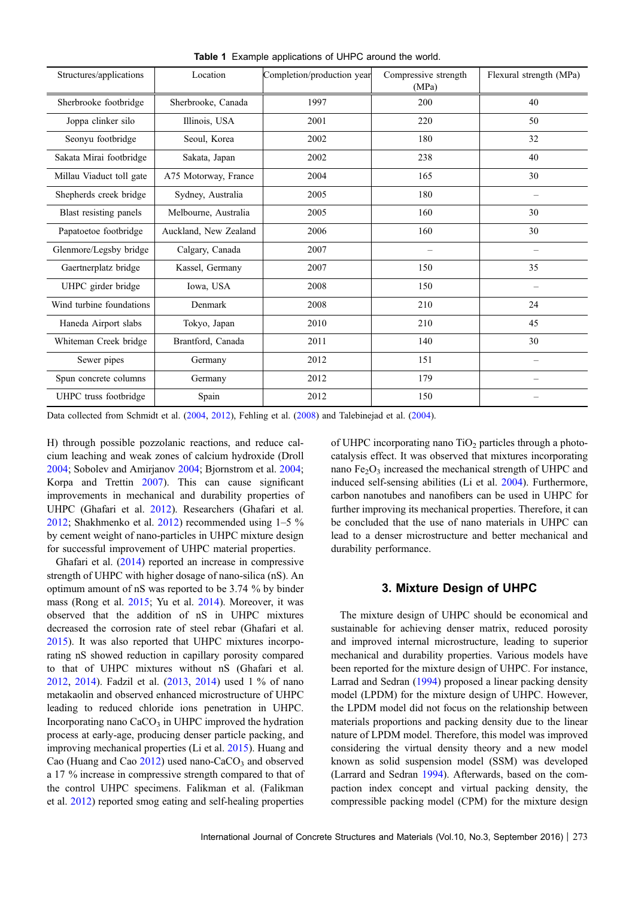<span id="page-2-0"></span>

| Structures/applications  | Location              | Completion/production year | Compressive strength<br>(MPa) | Flexural strength (MPa)  |  |  |
|--------------------------|-----------------------|----------------------------|-------------------------------|--------------------------|--|--|
| Sherbrooke footbridge    | Sherbrooke, Canada    | 1997                       | 200                           | 40                       |  |  |
| Joppa clinker silo       | Illinois, USA         | 2001                       | 220                           | 50                       |  |  |
| Seonyu footbridge        | Seoul, Korea          | 2002                       | 180                           | 32                       |  |  |
| Sakata Mirai footbridge  | Sakata, Japan         | 2002                       | 238                           | 40                       |  |  |
| Millau Viaduct toll gate | A75 Motorway, France  | 2004                       | 165                           | 30                       |  |  |
| Shepherds creek bridge   | Sydney, Australia     | 2005                       | 180                           | $\overline{\phantom{0}}$ |  |  |
| Blast resisting panels   | Melbourne, Australia  | 2005                       | 160                           | 30                       |  |  |
| Papatoetoe footbridge    | Auckland, New Zealand | 2006                       | 160                           | 30                       |  |  |
| Glenmore/Legsby bridge   | Calgary, Canada       | 2007                       |                               |                          |  |  |
| Gaertnerplatz bridge     | Kassel, Germany       | 2007                       | 150                           | 35                       |  |  |
| UHPC girder bridge       | Iowa, USA             | 2008                       | 150                           | $\overline{\phantom{0}}$ |  |  |
| Wind turbine foundations | Denmark               | 2008                       | 210                           | 24                       |  |  |
| Haneda Airport slabs     | Tokyo, Japan          | 2010                       | 210                           | 45                       |  |  |
| Whiteman Creek bridge    | Brantford, Canada     | 2011                       | 140                           | 30                       |  |  |
| Sewer pipes              | Germany               | 2012                       | 151                           | $\overline{\phantom{0}}$ |  |  |
| Spun concrete columns    | Germany               | 2012                       | 179                           |                          |  |  |
| UHPC truss footbridge    | Spain                 | 2012                       | 150                           |                          |  |  |

Table 1 Example applications of UHPC around the world.

Data collected from Schmidt et al. [\(2004](#page-22-0), [2012](#page-22-0)), Fehling et al. [\(2008](#page-19-0)) and Talebinejad et al. [\(2004\)](#page-23-0).

H) through possible pozzolanic reactions, and reduce calcium leaching and weak zones of calcium hydroxide (Droll [2004;](#page-19-0) Sobolev and Amirjanov [2004](#page-22-0); Bjornstrom et al. [2004](#page-18-0); Korpa and Trettin [2007](#page-20-0)). This can cause significant improvements in mechanical and durability properties of UHPC (Ghafari et al. [2012\)](#page-19-0). Researchers (Ghafari et al. [2012;](#page-19-0) Shakhmenko et al. [2012\)](#page-22-0) recommended using 1–5 % by cement weight of nano-particles in UHPC mixture design for successful improvement of UHPC material properties.

Ghafari et al. ([2014\)](#page-19-0) reported an increase in compressive strength of UHPC with higher dosage of nano-silica (nS). An optimum amount of nS was reported to be 3.74 % by binder mass (Rong et al. [2015](#page-22-0); Yu et al. [2014\)](#page-24-0). Moreover, it was observed that the addition of nS in UHPC mixtures decreased the corrosion rate of steel rebar (Ghafari et al. [2015\)](#page-19-0). It was also reported that UHPC mixtures incorporating nS showed reduction in capillary porosity compared to that of UHPC mixtures without nS (Ghafari et al. [2012,](#page-19-0) [2014](#page-19-0)). Fadzil et al. ([2013,](#page-19-0) [2014](#page-19-0)) used 1 % of nano metakaolin and observed enhanced microstructure of UHPC leading to reduced chloride ions penetration in UHPC. Incorporating nano  $CaCO<sub>3</sub>$  in UHPC improved the hydration process at early-age, producing denser particle packing, and improving mechanical properties (Li et al. [2015](#page-20-0)). Huang and Cao (Huang and Cao  $2012$ ) used nano-CaCO<sub>3</sub> and observed a 17 % increase in compressive strength compared to that of the control UHPC specimens. Falikman et al. (Falikman et al. [2012](#page-19-0)) reported smog eating and self-healing properties of UHPC incorporating nano  $TiO<sub>2</sub>$  particles through a photocatalysis effect. It was observed that mixtures incorporating nano  $Fe<sub>2</sub>O<sub>3</sub>$  increased the mechanical strength of UHPC and induced self-sensing abilities (Li et al. [2004](#page-21-0)). Furthermore, carbon nanotubes and nanofibers can be used in UHPC for further improving its mechanical properties. Therefore, it can be concluded that the use of nano materials in UHPC can lead to a denser microstructure and better mechanical and durability performance.

#### 3. Mixture Design of UHPC

The mixture design of UHPC should be economical and sustainable for achieving denser matrix, reduced porosity and improved internal microstructure, leading to superior mechanical and durability properties. Various models have been reported for the mixture design of UHPC. For instance, Larrad and Sedran [\(1994](#page-20-0)) proposed a linear packing density model (LPDM) for the mixture design of UHPC. However, the LPDM model did not focus on the relationship between materials proportions and packing density due to the linear nature of LPDM model. Therefore, this model was improved considering the virtual density theory and a new model known as solid suspension model (SSM) was developed (Larrard and Sedran [1994\)](#page-20-0). Afterwards, based on the compaction index concept and virtual packing density, the compressible packing model (CPM) for the mixture design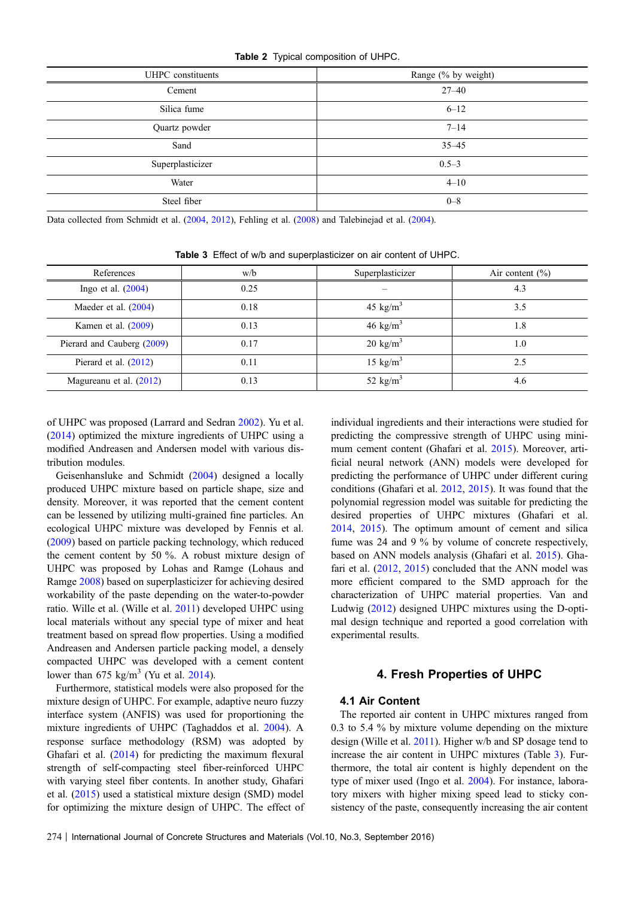#### Table 2 Typical composition of UHPC.

<span id="page-3-0"></span>

| UHPC constituents | Range (% by weight) |
|-------------------|---------------------|
| Cement            | $27 - 40$           |
| Silica fume       | $6 - 12$            |
| Quartz powder     | $7 - 14$            |
| Sand              | $35 - 45$           |
| Superplasticizer  | $0.5 - 3$           |
| Water             | $4 - 10$            |
| Steel fiber       | $0 - 8$             |

Data collected from Schmidt et al. [\(2004](#page-22-0), [2012](#page-22-0)), Fehling et al. [\(2008](#page-19-0)) and Talebinejad et al. [\(2004\)](#page-23-0).

| References                 | w/b  | Superplasticizer     | Air content $(\% )$ |
|----------------------------|------|----------------------|---------------------|
| Ingo et al. $(2004)$       | 0.25 |                      | 4.3                 |
| Maeder et al. $(2004)$     | 0.18 | 45 kg/m <sup>3</sup> | 3.5                 |
| Kamen et al. $(2009)$      | 0.13 | 46 kg/m <sup>3</sup> | 1.8                 |
| Pierard and Cauberg (2009) | 0.17 | $20 \text{ kg/m}^3$  | 1.0                 |
| Pierard et al. (2012)      | 0.11 | 15 $\text{kg/m}^3$   | 2.5                 |
| Magureanu et al. (2012)    | 0.13 | 52 kg/m <sup>3</sup> | 4.6                 |

Table 3 Effect of w/b and superplasticizer on air content of UHPC.

of UHPC was proposed (Larrard and Sedran [2002](#page-20-0)). Yu et al. [\(2014](#page-24-0)) optimized the mixture ingredients of UHPC using a modified Andreasen and Andersen model with various distribution modules.

Geisenhansluke and Schmidt [\(2004](#page-19-0)) designed a locally produced UHPC mixture based on particle shape, size and density. Moreover, it was reported that the cement content can be lessened by utilizing multi-grained fine particles. An ecological UHPC mixture was developed by Fennis et al. [\(2009](#page-19-0)) based on particle packing technology, which reduced the cement content by 50 %. A robust mixture design of UHPC was proposed by Lohas and Ramge (Lohaus and Ramge [2008](#page-21-0)) based on superplasticizer for achieving desired workability of the paste depending on the water-to-powder ratio. Wille et al. (Wille et al. [2011](#page-23-0)) developed UHPC using local materials without any special type of mixer and heat treatment based on spread flow properties. Using a modified Andreasen and Andersen particle packing model, a densely compacted UHPC was developed with a cement content lower than  $675 \text{ kg/m}^3$  (Yu et al. [2014\)](#page-24-0).

Furthermore, statistical models were also proposed for the mixture design of UHPC. For example, adaptive neuro fuzzy interface system (ANFIS) was used for proportioning the mixture ingredients of UHPC (Taghaddos et al. [2004](#page-23-0)). A response surface methodology (RSM) was adopted by Ghafari et al. ([2014\)](#page-19-0) for predicting the maximum flexural strength of self-compacting steel fiber-reinforced UHPC with varying steel fiber contents. In another study, Ghafari et al. [\(2015](#page-19-0)) used a statistical mixture design (SMD) model for optimizing the mixture design of UHPC. The effect of individual ingredients and their interactions were studied for predicting the compressive strength of UHPC using minimum cement content (Ghafari et al. [2015\)](#page-19-0). Moreover, artificial neural network (ANN) models were developed for predicting the performance of UHPC under different curing conditions (Ghafari et al. [2012,](#page-19-0) [2015](#page-19-0)). It was found that the polynomial regression model was suitable for predicting the desired properties of UHPC mixtures (Ghafari et al. [2014](#page-19-0), [2015\)](#page-19-0). The optimum amount of cement and silica fume was 24 and 9 % by volume of concrete respectively, based on ANN models analysis (Ghafari et al. [2015](#page-19-0)). Ghafari et al. ([2012,](#page-19-0) [2015](#page-19-0)) concluded that the ANN model was more efficient compared to the SMD approach for the characterization of UHPC material properties. Van and Ludwig [\(2012\)](#page-23-0) designed UHPC mixtures using the D-optimal design technique and reported a good correlation with experimental results.

## 4. Fresh Properties of UHPC

#### 4.1 Air Content

The reported air content in UHPC mixtures ranged from 0.3 to 5.4 % by mixture volume depending on the mixture design (Wille et al. [2011\)](#page-23-0). Higher w/b and SP dosage tend to increase the air content in UHPC mixtures (Table 3). Furthermore, the total air content is highly dependent on the type of mixer used (Ingo et al. [2004\)](#page-20-0). For instance, laboratory mixers with higher mixing speed lead to sticky consistency of the paste, consequently increasing the air content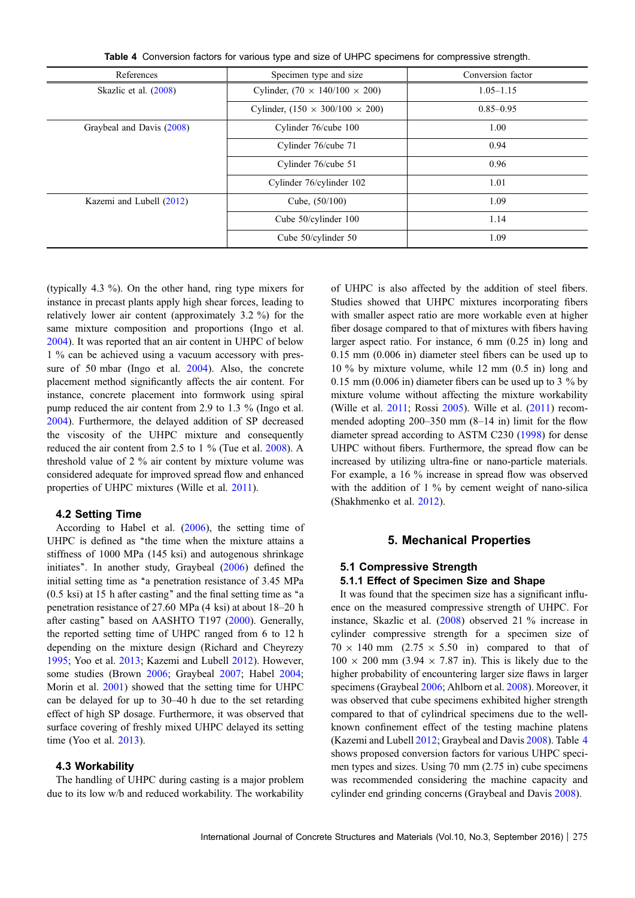Table 4 Conversion factors for various type and size of UHPC specimens for compressive strength.

| References                | Specimen type and size                      | Conversion factor |
|---------------------------|---------------------------------------------|-------------------|
| Skazlic et al. (2008)     | Cylinder, $(70 \times 140/100 \times 200)$  | $1.05 - 1.15$     |
|                           | Cylinder, $(150 \times 300/100 \times 200)$ | $0.85 - 0.95$     |
| Graybeal and Davis (2008) | Cylinder 76/cube 100                        | 1.00              |
|                           | Cylinder 76/cube 71                         | 0.94              |
|                           | Cylinder 76/cube 51                         | 0.96              |
|                           | Cylinder 76/cylinder 102                    | 1.01              |
| Kazemi and Lubell (2012)  | Cube, $(50/100)$                            | 1.09              |
|                           | Cube 50/cylinder 100                        | 1.14              |
|                           | Cube 50/cylinder 50                         | 1.09              |

(typically 4.3 %). On the other hand, ring type mixers for instance in precast plants apply high shear forces, leading to relatively lower air content (approximately 3.2 %) for the same mixture composition and proportions (Ingo et al. [2004\)](#page-20-0). It was reported that an air content in UHPC of below 1 % can be achieved using a vacuum accessory with pressure of 50 mbar (Ingo et al. [2004](#page-20-0)). Also, the concrete placement method significantly affects the air content. For instance, concrete placement into formwork using spiral pump reduced the air content from 2.9 to 1.3 % (Ingo et al. [2004\)](#page-20-0). Furthermore, the delayed addition of SP decreased the viscosity of the UHPC mixture and consequently reduced the air content from 2.5 to 1 % (Tue et al. [2008](#page-23-0)). A threshold value of 2 % air content by mixture volume was considered adequate for improved spread flow and enhanced properties of UHPC mixtures (Wille et al. [2011\)](#page-23-0).

#### 4.2 Setting Time

According to Habel et al. [\(2006\)](#page-20-0), the setting time of UHPC is defined as "the time when the mixture attains a stiffness of 1000 MPa (145 ksi) and autogenous shrinkage initiates''. In another study, Graybeal ([2006\)](#page-19-0) defined the initial setting time as "a penetration resistance of 3.45 MPa (0.5 ksi) at 15 h after casting'' and the final setting time as ''a penetration resistance of 27.60 MPa (4 ksi) at about 18–20 h after casting'' based on AASHTO T197 ([2000\)](#page-18-0). Generally, the reported setting time of UHPC ranged from 6 to 12 h depending on the mixture design (Richard and Cheyrezy [1995;](#page-22-0) Yoo et al. [2013;](#page-24-0) Kazemi and Lubell [2012\)](#page-20-0). However, some studies (Brown [2006](#page-18-0); Graybeal [2007](#page-19-0); Habel [2004](#page-20-0); Morin et al. [2001\)](#page-21-0) showed that the setting time for UHPC can be delayed for up to 30–40 h due to the set retarding effect of high SP dosage. Furthermore, it was observed that surface covering of freshly mixed UHPC delayed its setting time (Yoo et al. [2013\)](#page-24-0).

#### 4.3 Workability

The handling of UHPC during casting is a major problem due to its low w/b and reduced workability. The workability of UHPC is also affected by the addition of steel fibers. Studies showed that UHPC mixtures incorporating fibers with smaller aspect ratio are more workable even at higher fiber dosage compared to that of mixtures with fibers having larger aspect ratio. For instance, 6 mm (0.25 in) long and 0.15 mm (0.006 in) diameter steel fibers can be used up to 10 % by mixture volume, while 12 mm (0.5 in) long and 0.15 mm (0.006 in) diameter fibers can be used up to 3 % by mixture volume without affecting the mixture workability (Wille et al. [2011;](#page-23-0) Rossi [2005\)](#page-22-0). Wille et al. ([2011\)](#page-23-0) recommended adopting 200–350 mm (8–14 in) limit for the flow diameter spread according to ASTM C230 [\(1998](#page-18-0)) for dense UHPC without fibers. Furthermore, the spread flow can be increased by utilizing ultra-fine or nano-particle materials. For example, a 16 % increase in spread flow was observed with the addition of 1 % by cement weight of nano-silica (Shakhmenko et al. [2012](#page-22-0)).

#### 5. Mechanical Properties

# 5.1 Compressive Strength

## 5.1.1 Effect of Specimen Size and Shape

It was found that the specimen size has a significant influence on the measured compressive strength of UHPC. For instance, Skazlic et al. ([2008\)](#page-22-0) observed 21 % increase in cylinder compressive strength for a specimen size of  $70 \times 140$  mm  $(2.75 \times 5.50$  in) compared to that of  $100 \times 200$  mm (3.94  $\times$  7.87 in). This is likely due to the higher probability of encountering larger size flaws in larger specimens (Graybeal [2006;](#page-19-0) Ahlborn et al. [2008](#page-18-0)). Moreover, it was observed that cube specimens exhibited higher strength compared to that of cylindrical specimens due to the wellknown confinement effect of the testing machine platens (Kazemi and Lubell [2012;](#page-20-0) Graybeal and Davis [2008\)](#page-19-0). Table 4 shows proposed conversion factors for various UHPC specimen types and sizes. Using 70 mm (2.75 in) cube specimens was recommended considering the machine capacity and cylinder end grinding concerns (Graybeal and Davis [2008](#page-19-0)).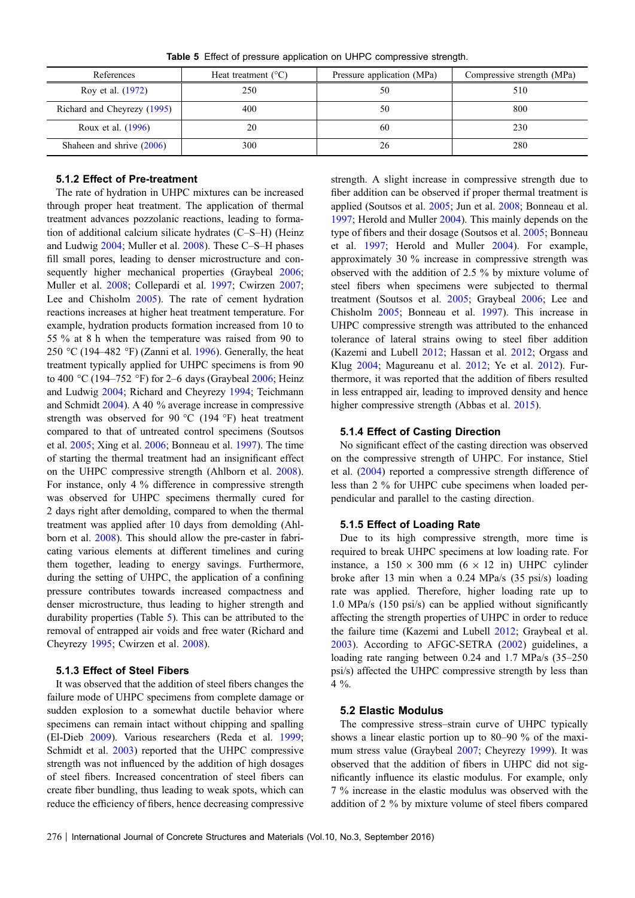|  |  |  |  |  |  |  | Table 5 Effect of pressure application on UHPC compressive strength. |  |
|--|--|--|--|--|--|--|----------------------------------------------------------------------|--|
|--|--|--|--|--|--|--|----------------------------------------------------------------------|--|

| References                  | Heat treatment $(^{\circ}C)$ | Pressure application (MPa) | Compressive strength (MPa) |
|-----------------------------|------------------------------|----------------------------|----------------------------|
| Roy et al. (1972)           | 250                          | 50                         | 510                        |
| Richard and Cheyrezy (1995) | 400                          | 50                         | 800                        |
| Roux et al. (1996)          | 20                           | 60                         | 230                        |
| Shaheen and shrive $(2006)$ | 300                          | 26                         | 280                        |

#### 5.1.2 Effect of Pre-treatment

The rate of hydration in UHPC mixtures can be increased through proper heat treatment. The application of thermal treatment advances pozzolanic reactions, leading to formation of additional calcium silicate hydrates (C–S–H) (Heinz and Ludwig [2004;](#page-20-0) Muller et al. [2008\)](#page-21-0). These C–S–H phases fill small pores, leading to denser microstructure and con-sequently higher mechanical properties (Graybeal [2006](#page-19-0); Muller et al. [2008;](#page-21-0) Collepardi et al. [1997;](#page-19-0) Cwirzen [2007](#page-19-0); Lee and Chisholm [2005\)](#page-20-0). The rate of cement hydration reactions increases at higher heat treatment temperature. For example, hydration products formation increased from 10 to 55 % at 8 h when the temperature was raised from 90 to 250 °C (194–482 °F) (Zanni et al. [1996](#page-24-0)). Generally, the heat treatment typically applied for UHPC specimens is from 90 to 400 °C (194–752 °F) for 2–6 days (Graybeal  $2006$ ; Heinz and Ludwig [2004;](#page-20-0) Richard and Cheyrezy [1994](#page-22-0); Teichmann and Schmidt [2004](#page-23-0)). A 40 % average increase in compressive strength was observed for 90  $^{\circ}$ C (194  $^{\circ}$ F) heat treatment compared to that of untreated control specimens (Soutsos et al. [2005;](#page-23-0) Xing et al. [2006;](#page-23-0) Bonneau et al. [1997](#page-18-0)). The time of starting the thermal treatment had an insignificant effect on the UHPC compressive strength (Ahlborn et al. [2008](#page-18-0)). For instance, only 4 % difference in compressive strength was observed for UHPC specimens thermally cured for 2 days right after demolding, compared to when the thermal treatment was applied after 10 days from demolding (Ahlborn et al. [2008](#page-18-0)). This should allow the pre-caster in fabricating various elements at different timelines and curing them together, leading to energy savings. Furthermore, during the setting of UHPC, the application of a confining pressure contributes towards increased compactness and denser microstructure, thus leading to higher strength and durability properties (Table 5). This can be attributed to the removal of entrapped air voids and free water (Richard and Cheyrezy [1995](#page-22-0); Cwirzen et al. [2008](#page-19-0)).

#### 5.1.3 Effect of Steel Fibers

It was observed that the addition of steel fibers changes the failure mode of UHPC specimens from complete damage or sudden explosion to a somewhat ductile behavior where specimens can remain intact without chipping and spalling (El-Dieb [2009\)](#page-19-0). Various researchers (Reda et al. [1999](#page-22-0); Schmidt et al. [2003\)](#page-22-0) reported that the UHPC compressive strength was not influenced by the addition of high dosages of steel fibers. Increased concentration of steel fibers can create fiber bundling, thus leading to weak spots, which can reduce the efficiency of fibers, hence decreasing compressive strength. A slight increase in compressive strength due to fiber addition can be observed if proper thermal treatment is applied (Soutsos et al. [2005](#page-23-0); Jun et al. [2008;](#page-20-0) Bonneau et al. [1997](#page-18-0); Herold and Muller [2004](#page-20-0)). This mainly depends on the type of fibers and their dosage (Soutsos et al. [2005;](#page-23-0) Bonneau et al. [1997](#page-18-0); Herold and Muller [2004](#page-20-0)). For example, approximately 30 % increase in compressive strength was observed with the addition of 2.5 % by mixture volume of steel fibers when specimens were subjected to thermal treatment (Soutsos et al. [2005](#page-23-0); Graybeal [2006;](#page-19-0) Lee and Chisholm [2005;](#page-20-0) Bonneau et al. [1997](#page-18-0)). This increase in UHPC compressive strength was attributed to the enhanced tolerance of lateral strains owing to steel fiber addition (Kazemi and Lubell [2012;](#page-20-0) Hassan et al. [2012](#page-20-0); Orgass and Klug [2004;](#page-21-0) Magureanu et al. [2012;](#page-21-0) Ye et al. [2012](#page-24-0)). Furthermore, it was reported that the addition of fibers resulted in less entrapped air, leading to improved density and hence higher compressive strength (Abbas et al. [2015\)](#page-18-0).

#### 5.1.4 Effect of Casting Direction

No significant effect of the casting direction was observed on the compressive strength of UHPC. For instance, Stiel et al. [\(2004](#page-23-0)) reported a compressive strength difference of less than 2 % for UHPC cube specimens when loaded perpendicular and parallel to the casting direction.

#### 5.1.5 Effect of Loading Rate

Due to its high compressive strength, more time is required to break UHPC specimens at low loading rate. For instance, a  $150 \times 300$  mm (6  $\times$  12 in) UHPC cylinder broke after 13 min when a 0.24 MPa/s (35 psi/s) loading rate was applied. Therefore, higher loading rate up to 1.0 MPa/s (150 psi/s) can be applied without significantly affecting the strength properties of UHPC in order to reduce the failure time (Kazemi and Lubell [2012;](#page-20-0) Graybeal et al. [2003](#page-19-0)). According to AFGC-SETRA [\(2002](#page-18-0)) guidelines, a loading rate ranging between 0.24 and 1.7 MPa/s (35–250 psi/s) affected the UHPC compressive strength by less than  $4\%$ .

#### 5.2 Elastic Modulus

The compressive stress–strain curve of UHPC typically shows a linear elastic portion up to 80–90 % of the maximum stress value (Graybeal [2007;](#page-19-0) Cheyrezy [1999\)](#page-18-0). It was observed that the addition of fibers in UHPC did not significantly influence its elastic modulus. For example, only 7 % increase in the elastic modulus was observed with the addition of 2 % by mixture volume of steel fibers compared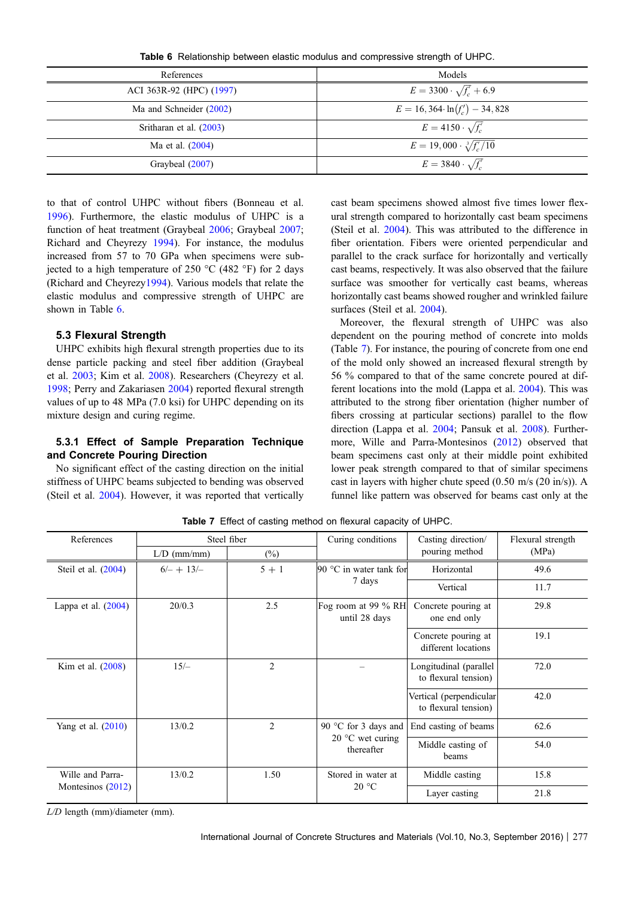Table 6 Relationship between elastic modulus and compressive strength of UHPC.

<span id="page-6-0"></span>

| References               | Models                                |
|--------------------------|---------------------------------------|
| ACI 363R-92 (HPC) (1997) | $E = 3300 \cdot \sqrt{f'_c} + 6.9$    |
| Ma and Schneider (2002)  | $E = 16,364 \cdot \ln(f'_c) - 34,828$ |
| Sritharan et al. (2003)  | $E = 4150 \cdot \sqrt{f'_c}$          |
| Ma et al. (2004)         | $E = 19,000 \cdot \sqrt[3]{f'_c/10}$  |
| Graybeal (2007)          | $E = 3840 \cdot \sqrt{f_c}$           |

to that of control UHPC without fibers (Bonneau et al. [1996\)](#page-18-0). Furthermore, the elastic modulus of UHPC is a function of heat treatment (Graybeal [2006](#page-19-0); Graybeal [2007](#page-19-0); Richard and Cheyrezy [1994](#page-22-0)). For instance, the modulus increased from 57 to 70 GPa when specimens were subjected to a high temperature of 250  $\rm{^{\circ}C}$  (482  $\rm{^{\circ}F}$ ) for 2 days (Richard and Cheyrezy[1994\)](#page-22-0). Various models that relate the elastic modulus and compressive strength of UHPC are shown in Table 6.

## 5.3 Flexural Strength

UHPC exhibits high flexural strength properties due to its dense particle packing and steel fiber addition (Graybeal et al. [2003;](#page-19-0) Kim et al. [2008](#page-20-0)). Researchers (Cheyrezy et al. [1998;](#page-18-0) Perry and Zakariasen [2004\)](#page-21-0) reported flexural strength values of up to 48 MPa (7.0 ksi) for UHPC depending on its mixture design and curing regime.

## 5.3.1 Effect of Sample Preparation Technique and Concrete Pouring Direction

No significant effect of the casting direction on the initial stiffness of UHPC beams subjected to bending was observed (Steil et al. [2004\)](#page-23-0). However, it was reported that vertically cast beam specimens showed almost five times lower flexural strength compared to horizontally cast beam specimens (Steil et al. [2004](#page-23-0)). This was attributed to the difference in fiber orientation. Fibers were oriented perpendicular and parallel to the crack surface for horizontally and vertically cast beams, respectively. It was also observed that the failure surface was smoother for vertically cast beams, whereas horizontally cast beams showed rougher and wrinkled failure surfaces (Steil et al. [2004\)](#page-23-0).

Moreover, the flexural strength of UHPC was also dependent on the pouring method of concrete into molds (Table 7). For instance, the pouring of concrete from one end of the mold only showed an increased flexural strength by 56 % compared to that of the same concrete poured at different locations into the mold (Lappa et al. [2004](#page-20-0)). This was attributed to the strong fiber orientation (higher number of fibers crossing at particular sections) parallel to the flow direction (Lappa et al. [2004;](#page-20-0) Pansuk et al. [2008\)](#page-21-0). Furthermore, Wille and Parra-Montesinos ([2012\)](#page-23-0) observed that beam specimens cast only at their middle point exhibited lower peak strength compared to that of similar specimens cast in layers with higher chute speed (0.50 m/s (20 in/s)). A funnel like pattern was observed for beams cast only at the

| References            |                          | Steel fiber                                 | Curing conditions                       | Casting direction/                              | Flexural strength |
|-----------------------|--------------------------|---------------------------------------------|-----------------------------------------|-------------------------------------------------|-------------------|
|                       | $L/D$ (mm/mm)            | $(\%)$                                      |                                         | pouring method                                  | (MPa)             |
| Steil et al. (2004)   | $6/- + 13/-$             | $5 + 1$                                     | 90 $\degree$ C in water tank for        | Horizontal                                      | 49.6              |
|                       |                          |                                             | 7 days                                  | Vertical                                        | 11.7              |
| Lappa et al. $(2004)$ | 20/0.3                   | 2.5<br>Fog room at 99 % RH<br>until 28 days |                                         | Concrete pouring at<br>one end only             | 29.8              |
|                       |                          |                                             |                                         | Concrete pouring at<br>different locations      | 19.1              |
| Kim et al. (2008)     | $15/-$<br>$\overline{2}$ |                                             |                                         | Longitudinal (parallel<br>to flexural tension)  | 72.0              |
|                       |                          |                                             |                                         | Vertical (perpendicular<br>to flexural tension) | 42.0              |
| Yang et al. $(2010)$  | 13/0.2                   | $\overline{2}$                              | 90 °C for 3 days and                    | End casting of beams                            | 62.6              |
|                       |                          |                                             | 20 $\degree$ C wet curing<br>thereafter | Middle casting of<br>beams                      | 54.0              |
| Wille and Parra-      | 1.50<br>13/0.2           |                                             | Stored in water at                      | Middle casting                                  | 15.8              |
| Montesinos (2012)     |                          |                                             | 20 °C                                   | Layer casting                                   | 21.8              |

Table 7 Effect of casting method on flexural capacity of UHPC.

*L/D* length (mm)/diameter (mm).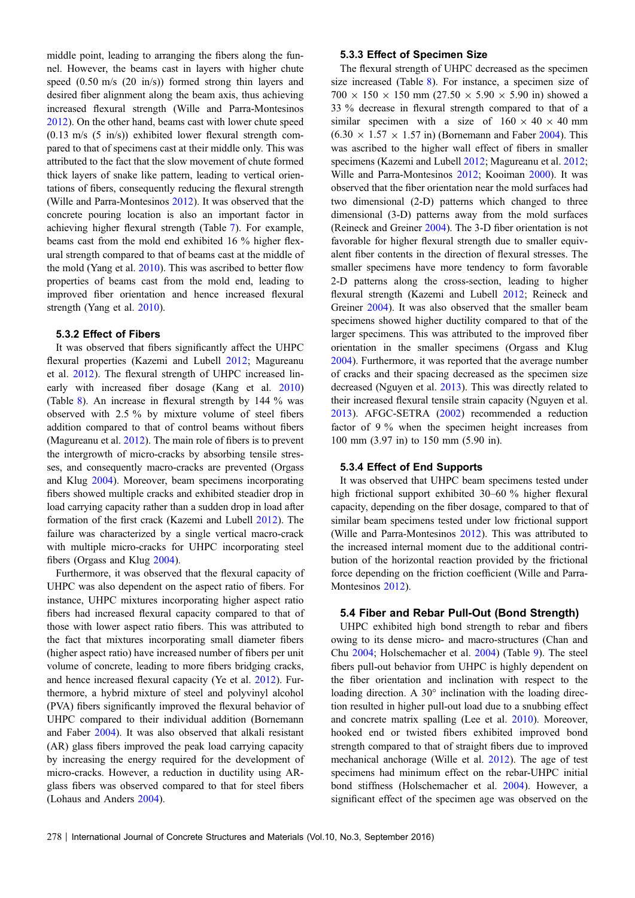middle point, leading to arranging the fibers along the funnel. However, the beams cast in layers with higher chute speed (0.50 m/s (20 in/s)) formed strong thin layers and desired fiber alignment along the beam axis, thus achieving increased flexural strength (Wille and Parra-Montesinos [2012\)](#page-23-0). On the other hand, beams cast with lower chute speed  $(0.13 \text{ m/s } (5 \text{ in/s}))$  exhibited lower flexural strength compared to that of specimens cast at their middle only. This was attributed to the fact that the slow movement of chute formed thick layers of snake like pattern, leading to vertical orientations of fibers, consequently reducing the flexural strength (Wille and Parra-Montesinos [2012](#page-23-0)). It was observed that the concrete pouring location is also an important factor in achieving higher flexural strength (Table [7\)](#page-6-0). For example, beams cast from the mold end exhibited 16 % higher flexural strength compared to that of beams cast at the middle of the mold (Yang et al. [2010\)](#page-23-0). This was ascribed to better flow properties of beams cast from the mold end, leading to improved fiber orientation and hence increased flexural strength (Yang et al. [2010](#page-23-0)).

#### 5.3.2 Effect of Fibers

It was observed that fibers significantly affect the UHPC flexural properties (Kazemi and Lubell [2012](#page-20-0); Magureanu et al. [2012](#page-21-0)). The flexural strength of UHPC increased linearly with increased fiber dosage (Kang et al. [2010\)](#page-20-0) (Table [8](#page-8-0)). An increase in flexural strength by 144 % was observed with 2.5 % by mixture volume of steel fibers addition compared to that of control beams without fibers (Magureanu et al. [2012\)](#page-21-0). The main role of fibers is to prevent the intergrowth of micro-cracks by absorbing tensile stresses, and consequently macro-cracks are prevented (Orgass and Klug [2004](#page-21-0)). Moreover, beam specimens incorporating fibers showed multiple cracks and exhibited steadier drop in load carrying capacity rather than a sudden drop in load after formation of the first crack (Kazemi and Lubell [2012](#page-20-0)). The failure was characterized by a single vertical macro-crack with multiple micro-cracks for UHPC incorporating steel fibers (Orgass and Klug [2004\)](#page-21-0).

Furthermore, it was observed that the flexural capacity of UHPC was also dependent on the aspect ratio of fibers. For instance, UHPC mixtures incorporating higher aspect ratio fibers had increased flexural capacity compared to that of those with lower aspect ratio fibers. This was attributed to the fact that mixtures incorporating small diameter fibers (higher aspect ratio) have increased number of fibers per unit volume of concrete, leading to more fibers bridging cracks, and hence increased flexural capacity (Ye et al. [2012\)](#page-24-0). Furthermore, a hybrid mixture of steel and polyvinyl alcohol (PVA) fibers significantly improved the flexural behavior of UHPC compared to their individual addition (Bornemann and Faber [2004\)](#page-18-0). It was also observed that alkali resistant (AR) glass fibers improved the peak load carrying capacity by increasing the energy required for the development of micro-cracks. However, a reduction in ductility using ARglass fibers was observed compared to that for steel fibers (Lohaus and Anders [2004](#page-21-0)).

#### 5.3.3 Effect of Specimen Size

The flexural strength of UHPC decreased as the specimen size increased (Table [8](#page-8-0)). For instance, a specimen size of  $700 \times 150 \times 150$  mm (27.50  $\times$  5.90  $\times$  5.90 in) showed a 33 % decrease in flexural strength compared to that of a similar specimen with a size of  $160 \times 40 \times 40$  mm  $(6.30 \times 1.57 \times 1.57 \text{ in})$  (Bornemann and Faber [2004](#page-18-0)). This was ascribed to the higher wall effect of fibers in smaller specimens (Kazemi and Lubell [2012;](#page-20-0) Magureanu et al. [2012;](#page-21-0) Wille and Parra-Montesinos [2012;](#page-23-0) Kooiman [2000](#page-20-0)). It was observed that the fiber orientation near the mold surfaces had two dimensional (2-D) patterns which changed to three dimensional (3-D) patterns away from the mold surfaces (Reineck and Greiner [2004\)](#page-22-0). The 3-D fiber orientation is not favorable for higher flexural strength due to smaller equivalent fiber contents in the direction of flexural stresses. The smaller specimens have more tendency to form favorable 2-D patterns along the cross-section, leading to higher flexural strength (Kazemi and Lubell [2012;](#page-20-0) Reineck and Greiner [2004](#page-22-0)). It was also observed that the smaller beam specimens showed higher ductility compared to that of the larger specimens. This was attributed to the improved fiber orientation in the smaller specimens (Orgass and Klug [2004](#page-21-0)). Furthermore, it was reported that the average number of cracks and their spacing decreased as the specimen size decreased (Nguyen et al. [2013\)](#page-21-0). This was directly related to their increased flexural tensile strain capacity (Nguyen et al. [2013](#page-21-0)). AFGC-SETRA [\(2002](#page-18-0)) recommended a reduction factor of 9 % when the specimen height increases from 100 mm (3.97 in) to 150 mm (5.90 in).

### 5.3.4 Effect of End Supports

It was observed that UHPC beam specimens tested under high frictional support exhibited 30–60 % higher flexural capacity, depending on the fiber dosage, compared to that of similar beam specimens tested under low frictional support (Wille and Parra-Montesinos [2012](#page-23-0)). This was attributed to the increased internal moment due to the additional contribution of the horizontal reaction provided by the frictional force depending on the friction coefficient (Wille and Parra-Montesinos [2012\)](#page-23-0).

#### 5.4 Fiber and Rebar Pull-Out (Bond Strength)

UHPC exhibited high bond strength to rebar and fibers owing to its dense micro- and macro-structures (Chan and Chu [2004](#page-18-0); Holschemacher et al. [2004](#page-20-0)) (Table [9](#page-10-0)). The steel fibers pull-out behavior from UHPC is highly dependent on the fiber orientation and inclination with respect to the loading direction. A  $30^{\circ}$  inclination with the loading direction resulted in higher pull-out load due to a snubbing effect and concrete matrix spalling (Lee et al. [2010](#page-20-0)). Moreover, hooked end or twisted fibers exhibited improved bond strength compared to that of straight fibers due to improved mechanical anchorage (Wille et al. [2012](#page-23-0)). The age of test specimens had minimum effect on the rebar-UHPC initial bond stiffness (Holschemacher et al. [2004\)](#page-20-0). However, a significant effect of the specimen age was observed on the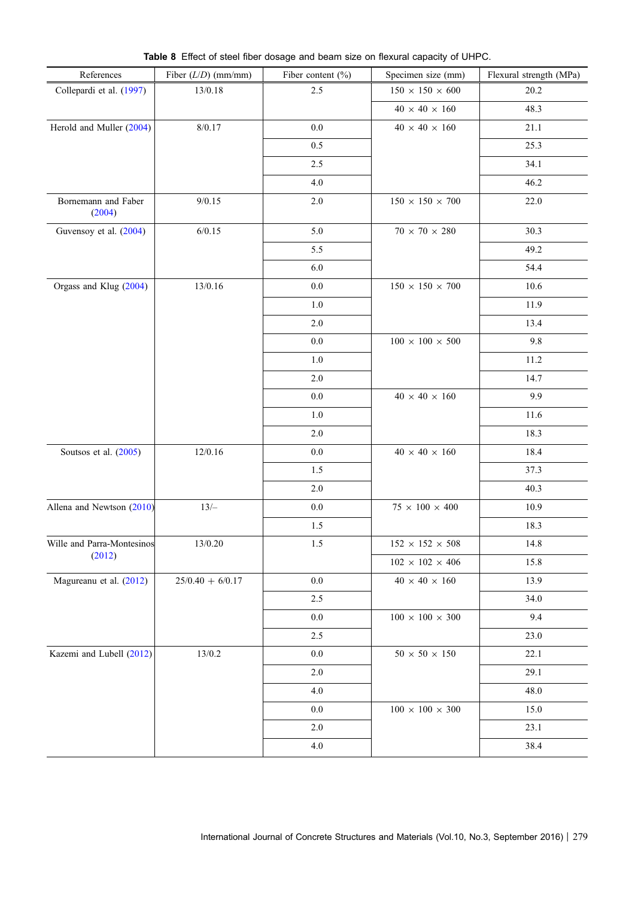<span id="page-8-0"></span>

| References                    | Fiber $(L/D)$ (mm/mm) | Fiber content $(\%)$ | Specimen size (mm)                  | Flexural strength (MPa) |
|-------------------------------|-----------------------|----------------------|-------------------------------------|-------------------------|
| Collepardi et al. (1997)      | 13/0.18               | 2.5                  | $150$ $\times$ $150$ $\times$ $600$ | 20.2                    |
|                               |                       |                      | $40$ $\times$ $40$ $\times$ $160$   | 48.3                    |
| Herold and Muller (2004)      | 8/0.17                | $0.0\,$              | $40 \times 40 \times 160$           | 21.1                    |
|                               |                       | 0.5                  |                                     | 25.3                    |
|                               |                       | 2.5                  |                                     | 34.1                    |
|                               |                       | 4.0                  |                                     | 46.2                    |
| Bornemann and Faber<br>(2004) | 9/0.15                | $2.0\,$              | $150$ $\times$ $150$ $\times$ $700$ | 22.0                    |
| Guvensoy et al. (2004)        | 6/0.15                | 5.0                  | $70$ $\times$ $70$ $\times$ $280$   | 30.3                    |
|                               |                       | 5.5                  |                                     | 49.2                    |
|                               |                       | 6.0                  |                                     | 54.4                    |
| Orgass and Klug (2004)        | 13/0.16               | $0.0\,$              | $150$ $\times$ $150$ $\times$ $700$ | 10.6                    |
|                               |                       | 1.0                  |                                     | 11.9                    |
|                               |                       | 2.0                  |                                     | 13.4                    |
|                               |                       | $0.0\,$              | $100$ $\times$ $100$ $\times$ $500$ | 9.8                     |
|                               |                       | $1.0\,$              |                                     | 11.2                    |
|                               |                       | 2.0                  |                                     | 14.7                    |
|                               |                       | 0.0                  | $40\,\times\,40\,\times\,160$       | 9.9                     |
|                               |                       | 1.0                  |                                     | 11.6                    |
|                               |                       | 2.0                  |                                     | 18.3                    |
| Soutsos et al. (2005)         | 12/0.16               | $0.0\,$              | $40$ $\times$ $40$ $\times$ $160$   | 18.4                    |
|                               |                       | 1.5                  |                                     | 37.3                    |
|                               |                       | 2.0                  |                                     | 40.3                    |
| Allena and Newtson (2010)     | $13/-$                | $0.0\,$              | $75$ $\times$ $100$ $\times$ $400$  | 10.9                    |
|                               |                       | 1.5                  |                                     | 18.3                    |
| Wille and Parra-Montesinos    | 13/0.20               | $1.5\,$              | $152$ $\times$ $152$ $\times$ $508$ | 14.8                    |
| (2012)                        |                       |                      | $102$ $\times$ $102$ $\times$ $406$ | 15.8                    |
| Magureanu et al. (2012)       | $25/0.40 + 6/0.17$    | $0.0\,$              | $40$ $\times$ $40$ $\times$ $160$   | 13.9                    |
|                               |                       | 2.5                  |                                     | 34.0                    |
|                               |                       | $0.0\,$              | $100$ $\times$ $100$ $\times$ $300$ | 9.4                     |
|                               |                       | 2.5                  |                                     | 23.0                    |
| Kazemi and Lubell (2012)      | 13/0.2                | 0.0                  | $50$ $\times$ $50$ $\times$ $150$   | 22.1                    |
|                               |                       | 2.0                  |                                     | 29.1                    |
|                               |                       | 4.0                  |                                     | 48.0                    |
|                               |                       | 0.0                  | $100$ $\times$ $100$ $\times$ $300$ | 15.0                    |
|                               |                       | 2.0                  |                                     | 23.1                    |
|                               |                       | 4.0                  |                                     | 38.4                    |

Table 8 Effect of steel fiber dosage and beam size on flexural capacity of UHPC.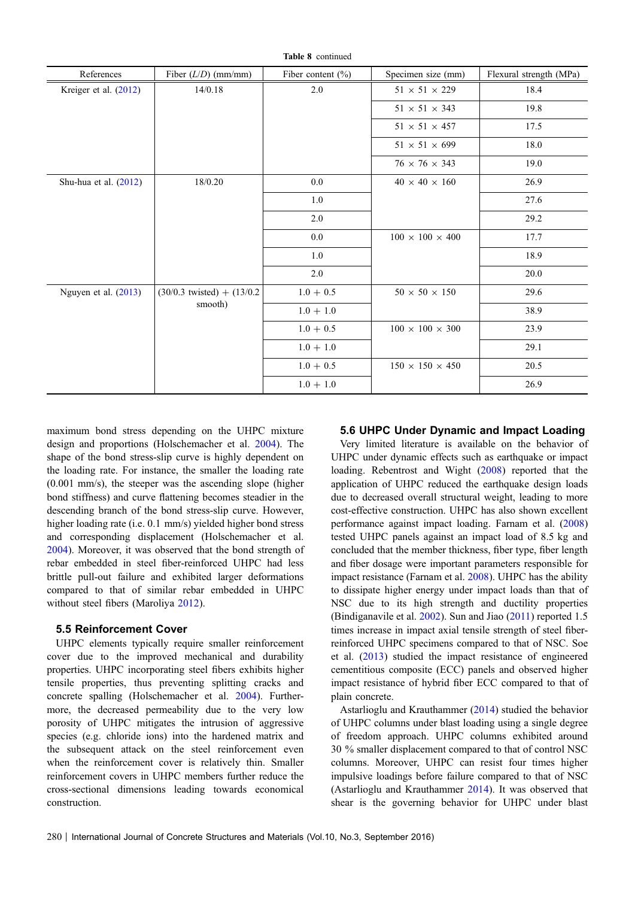| References             | Fiber $(L/D)$ (mm/mm)           | Fiber content $(\% )$ | Specimen size (mm)                | Flexural strength (MPa) |  |  |  |
|------------------------|---------------------------------|-----------------------|-----------------------------------|-------------------------|--|--|--|
| Kreiger et al. (2012)  | 14/0.18                         | 2.0                   | $51$ $\times$ $51$ $\times$ $229$ | 18.4                    |  |  |  |
|                        |                                 |                       | $51 \times 51 \times 343$         | 19.8                    |  |  |  |
|                        |                                 |                       | $51 \times 51 \times 457$         | 17.5                    |  |  |  |
|                        |                                 |                       | $51 \times 51 \times 699$         | 18.0                    |  |  |  |
|                        |                                 |                       | $76 \times 76 \times 343$         | 19.0                    |  |  |  |
| Shu-hua et al. (2012)  | 18/0.20                         | 0.0                   | $40 \times 40 \times 160$         | 26.9                    |  |  |  |
|                        |                                 | 1.0                   |                                   | 27.6                    |  |  |  |
|                        |                                 | 2.0                   |                                   | 29.2                    |  |  |  |
|                        |                                 | 0.0                   | $100 \times 100 \times 400$       | 17.7                    |  |  |  |
|                        |                                 | 1.0                   |                                   | 18.9                    |  |  |  |
|                        |                                 | 2.0                   |                                   | 20.0                    |  |  |  |
| Nguyen et al. $(2013)$ | $(30/0.3$ twisted) + $(13/0.2)$ | $1.0 + 0.5$           | $50 \times 50 \times 150$         | 29.6                    |  |  |  |
|                        | smooth)                         | $1.0 + 1.0$           |                                   | 38.9                    |  |  |  |
|                        |                                 | $1.0 + 0.5$           | $100 \times 100 \times 300$       | 23.9                    |  |  |  |
|                        |                                 | $1.0 + 1.0$           |                                   | 29.1                    |  |  |  |
|                        |                                 | $1.0 + 0.5$           | $150 \times 150 \times 450$       | 20.5                    |  |  |  |
|                        |                                 | $1.0 + 1.0$           |                                   | 26.9                    |  |  |  |

Table 8 continued

maximum bond stress depending on the UHPC mixture design and proportions (Holschemacher et al. [2004](#page-20-0)). The shape of the bond stress-slip curve is highly dependent on the loading rate. For instance, the smaller the loading rate (0.001 mm/s), the steeper was the ascending slope (higher bond stiffness) and curve flattening becomes steadier in the descending branch of the bond stress-slip curve. However, higher loading rate (i.e. 0.1 mm/s) yielded higher bond stress and corresponding displacement (Holschemacher et al. [2004\)](#page-20-0). Moreover, it was observed that the bond strength of rebar embedded in steel fiber-reinforced UHPC had less brittle pull-out failure and exhibited larger deformations compared to that of similar rebar embedded in UHPC without steel fibers (Maroliya [2012\)](#page-21-0).

#### 5.5 Reinforcement Cover

UHPC elements typically require smaller reinforcement cover due to the improved mechanical and durability properties. UHPC incorporating steel fibers exhibits higher tensile properties, thus preventing splitting cracks and concrete spalling (Holschemacher et al. [2004\)](#page-20-0). Furthermore, the decreased permeability due to the very low porosity of UHPC mitigates the intrusion of aggressive species (e.g. chloride ions) into the hardened matrix and the subsequent attack on the steel reinforcement even when the reinforcement cover is relatively thin. Smaller reinforcement covers in UHPC members further reduce the cross-sectional dimensions leading towards economical construction.

#### 5.6 UHPC Under Dynamic and Impact Loading

Very limited literature is available on the behavior of UHPC under dynamic effects such as earthquake or impact loading. Rebentrost and Wight ([2008\)](#page-22-0) reported that the application of UHPC reduced the earthquake design loads due to decreased overall structural weight, leading to more cost-effective construction. UHPC has also shown excellent performance against impact loading. Farnam et al. [\(2008](#page-19-0)) tested UHPC panels against an impact load of 8.5 kg and concluded that the member thickness, fiber type, fiber length and fiber dosage were important parameters responsible for impact resistance (Farnam et al. [2008\)](#page-19-0). UHPC has the ability to dissipate higher energy under impact loads than that of NSC due to its high strength and ductility properties (Bindiganavile et al. [2002](#page-18-0)). Sun and Jiao [\(2011\)](#page-23-0) reported 1.5 times increase in impact axial tensile strength of steel fiberreinforced UHPC specimens compared to that of NSC. Soe et al. [\(2013](#page-22-0)) studied the impact resistance of engineered cementitious composite (ECC) panels and observed higher impact resistance of hybrid fiber ECC compared to that of plain concrete.

Astarlioglu and Krauthammer [\(2014](#page-18-0)) studied the behavior of UHPC columns under blast loading using a single degree of freedom approach. UHPC columns exhibited around 30 % smaller displacement compared to that of control NSC columns. Moreover, UHPC can resist four times higher impulsive loadings before failure compared to that of NSC (Astarlioglu and Krauthammer [2014\)](#page-18-0). It was observed that shear is the governing behavior for UHPC under blast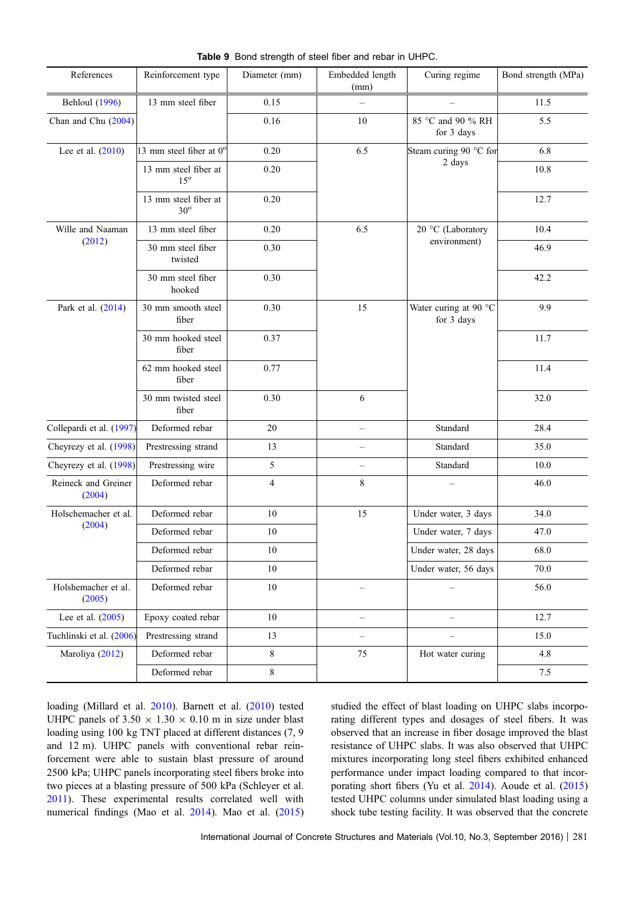<span id="page-10-0"></span>

| References                    | Reinforcement type                   | Diameter (mm)  | Embedded length<br>(mm)  | Curing regime                       | Bond strength (MPa) |
|-------------------------------|--------------------------------------|----------------|--------------------------|-------------------------------------|---------------------|
| <b>Behloul</b> (1996)         | 13 mm steel fiber                    | 0.15           |                          |                                     | 11.5                |
| Chan and Chu (2004)           |                                      | 0.16           | 10                       | 85 °C and 90 % RH<br>for 3 days     | 5.5                 |
| Lee et al. $(2010)$           | 13 mm steel fiber at $0^{\circ}$     | 0.20           | 6.5                      | Steam curing 90 °C for              | 6.8                 |
|                               | 13 mm steel fiber at<br>$15^{\circ}$ | 0.20           |                          | 2 days                              | 10.8                |
|                               | 13 mm steel fiber at<br>$30^\circ$   | 0.20           |                          |                                     | 12.7                |
| Wille and Naaman              | 13 mm steel fiber                    | 0.20           | 6.5                      | 20 °C (Laboratory                   | 10.4                |
| (2012)                        | 30 mm steel fiber<br>twisted         | 0.30           |                          | environment)                        | 46.9                |
|                               | 30 mm steel fiber<br>hooked          | 0.30           |                          |                                     | 42.2                |
| Park et al. (2014)            | 30 mm smooth steel<br>fiber          | 0.30           | 15                       | Water curing at 90 °C<br>for 3 days | 9.9                 |
|                               | 30 mm hooked steel<br>fiber          | 0.37           |                          |                                     | 11.7                |
|                               | 62 mm hooked steel<br>fiber          | 0.77           |                          |                                     | 11.4                |
|                               | 30 mm twisted steel<br>fiber         | 0.30           | 6                        |                                     | 32.0                |
| Collepardi et al. (1997)      | Deformed rebar                       | 20             | $\qquad \qquad -$        | Standard                            | 28.4                |
| Cheyrezy et al. (1998)        | Prestressing strand                  | 13             | $\overline{\phantom{0}}$ | Standard                            | 35.0                |
| Cheyrezy et al. (1998)        | Prestressing wire                    | 5              | $\qquad \qquad -$        | Standard                            | 10.0                |
| Reineck and Greiner<br>(2004) | Deformed rebar                       | $\overline{4}$ | 8                        |                                     | 46.0                |
| Holschemacher et al.          | Deformed rebar                       | 10             | 15                       | Under water, 3 days                 | 34.0                |
| (2004)                        | Deformed rebar                       | 10             |                          | Under water, 7 days                 | 47.0                |
|                               | Deformed rebar                       | $10\,$         |                          | Under water, 28 days                | 68.0                |
|                               | Deformed rebar                       | 10             |                          | Under water, 56 days                | 70.0                |
| Holshemacher et al.<br>(2005) | Deformed rebar                       | 10             | $\overline{\phantom{0}}$ |                                     | 56.0                |
| Lee et al. $(2005)$           | Epoxy coated rebar                   | 10             | $\qquad \qquad -$        | $\overline{\phantom{0}}$            | 12.7                |
| Tuchlinski et al. (2006)      | Prestressing strand                  | 13             |                          |                                     | 15.0                |
| Maroliya (2012)               | Deformed rebar                       | 8              | 75                       | Hot water curing                    | 4.8                 |
|                               | Deformed rebar                       | $8\,$          |                          |                                     | 7.5                 |

Table 9 Bond strength of steel fiber and rebar in UHPC.

loading (Millard et al. [2010](#page-21-0)). Barnett et al. [\(2010](#page-18-0)) tested UHPC panels of  $3.50 \times 1.30 \times 0.10$  m in size under blast loading using 100 kg TNT placed at different distances (7, 9 and 12 m). UHPC panels with conventional rebar reinforcement were able to sustain blast pressure of around 2500 kPa; UHPC panels incorporating steel fibers broke into two pieces at a blasting pressure of 500 kPa (Schleyer et al. [2011\)](#page-22-0). These experimental results correlated well with numerical findings (Mao et al. [2014](#page-21-0)). Mao et al. ([2015\)](#page-21-0) studied the effect of blast loading on UHPC slabs incorporating different types and dosages of steel fibers. It was observed that an increase in fiber dosage improved the blast resistance of UHPC slabs. It was also observed that UHPC mixtures incorporating long steel fibers exhibited enhanced performance under impact loading compared to that incorporating short fibers (Yu et al. [2014](#page-24-0)). Aoude et al. [\(2015](#page-18-0)) tested UHPC columns under simulated blast loading using a shock tube testing facility. It was observed that the concrete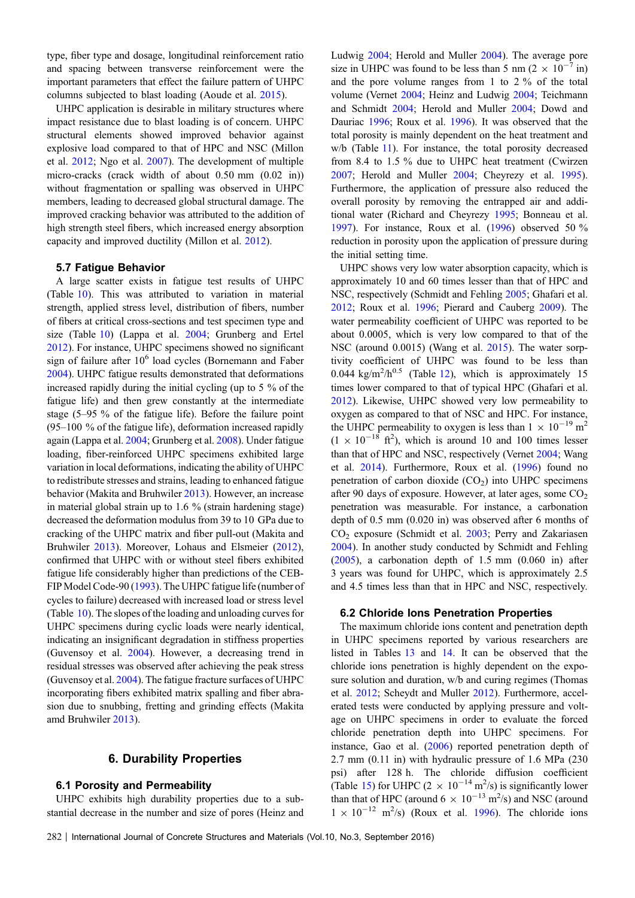type, fiber type and dosage, longitudinal reinforcement ratio and spacing between transverse reinforcement were the important parameters that effect the failure pattern of UHPC columns subjected to blast loading (Aoude et al. [2015\)](#page-18-0).

UHPC application is desirable in military structures where impact resistance due to blast loading is of concern. UHPC structural elements showed improved behavior against explosive load compared to that of HPC and NSC (Millon et al. [2012](#page-21-0); Ngo et al. [2007\)](#page-21-0). The development of multiple micro-cracks (crack width of about 0.50 mm (0.02 in)) without fragmentation or spalling was observed in UHPC members, leading to decreased global structural damage. The improved cracking behavior was attributed to the addition of high strength steel fibers, which increased energy absorption capacity and improved ductility (Millon et al. [2012\)](#page-21-0).

#### 5.7 Fatigue Behavior

A large scatter exists in fatigue test results of UHPC (Table [10](#page-12-0)). This was attributed to variation in material strength, applied stress level, distribution of fibers, number of fibers at critical cross-sections and test specimen type and size (Table [10](#page-12-0)) (Lappa et al. [2004;](#page-20-0) Grunberg and Ertel [2012\)](#page-19-0). For instance, UHPC specimens showed no significant sign of failure after 10<sup>6</sup> load cycles (Bornemann and Faber [2004\)](#page-18-0). UHPC fatigue results demonstrated that deformations increased rapidly during the initial cycling (up to 5 % of the fatigue life) and then grew constantly at the intermediate stage (5–95 % of the fatigue life). Before the failure point (95–100 % of the fatigue life), deformation increased rapidly again (Lappa et al. [2004;](#page-20-0) Grunberg et al. [2008](#page-20-0)). Under fatigue loading, fiber-reinforced UHPC specimens exhibited large variation in local deformations, indicating the ability of UHPC to redistribute stresses and strains, leading to enhanced fatigue behavior (Makita and Bruhwiler [2013\)](#page-21-0). However, an increase in material global strain up to 1.6 % (strain hardening stage) decreased the deformation modulus from 39 to 10 GPa due to cracking of the UHPC matrix and fiber pull-out (Makita and Bruhwiler [2013](#page-21-0)). Moreover, Lohaus and Elsmeier [\(2012](#page-21-0)), confirmed that UHPC with or without steel fibers exhibited fatigue life considerably higher than predictions of the CEB-FIP Model Code-90 [\(1993](#page-18-0)). The UHPC fatigue life (number of cycles to failure) decreased with increased load or stress level (Table [10](#page-12-0)). The slopes of the loading and unloading curves for UHPC specimens during cyclic loads were nearly identical, indicating an insignificant degradation in stiffness properties (Guvensoy et al. [2004\)](#page-20-0). However, a decreasing trend in residual stresses was observed after achieving the peak stress (Guvensoy et al. [2004](#page-20-0)). The fatigue fracture surfaces of UHPC incorporating fibers exhibited matrix spalling and fiber abrasion due to snubbing, fretting and grinding effects (Makita amd Bruhwiler [2013\)](#page-21-0).

### 6. Durability Properties

#### 6.1 Porosity and Permeability

UHPC exhibits high durability properties due to a substantial decrease in the number and size of pores (Heinz and Ludwig [2004;](#page-20-0) Herold and Muller [2004\)](#page-20-0). The average pore size in UHPC was found to be less than 5 nm  $(2 \times 10^{-7} \text{ in})$ and the pore volume ranges from 1 to 2 % of the total volume (Vernet [2004](#page-23-0); Heinz and Ludwig [2004](#page-20-0); Teichmann and Schmidt [2004;](#page-23-0) Herold and Muller [2004;](#page-20-0) Dowd and Dauriac [1996](#page-19-0); Roux et al. [1996](#page-22-0)). It was observed that the total porosity is mainly dependent on the heat treatment and w/b (Table [11\)](#page-14-0). For instance, the total porosity decreased from 8.4 to 1.5 % due to UHPC heat treatment (Cwirzen [2007](#page-19-0); Herold and Muller [2004;](#page-20-0) Cheyrezy et al. [1995\)](#page-18-0). Furthermore, the application of pressure also reduced the overall porosity by removing the entrapped air and additional water (Richard and Cheyrezy [1995](#page-22-0); Bonneau et al. [1997](#page-18-0)). For instance, Roux et al. ([1996\)](#page-22-0) observed 50 % reduction in porosity upon the application of pressure during the initial setting time.

UHPC shows very low water absorption capacity, which is approximately 10 and 60 times lesser than that of HPC and NSC, respectively (Schmidt and Fehling [2005;](#page-22-0) Ghafari et al. [2012](#page-19-0); Roux et al. [1996](#page-22-0); Pierard and Cauberg [2009\)](#page-21-0). The water permeability coefficient of UHPC was reported to be about 0.0005, which is very low compared to that of the NSC (around 0.0015) (Wang et al. [2015\)](#page-23-0). The water sorptivity coefficient of UHPC was found to be less than 0.044 kg/m<sup>2</sup>/h<sup>0.5</sup> (Table [12](#page-15-0)), which is approximately 15 times lower compared to that of typical HPC (Ghafari et al. [2012](#page-19-0)). Likewise, UHPC showed very low permeability to oxygen as compared to that of NSC and HPC. For instance, the UHPC permeability to oxygen is less than  $1 \times 10^{-19}$  m<sup>2</sup>  $(1 \times 10^{-18}$  ft<sup>2</sup>), which is around 10 and 100 times lesser than that of HPC and NSC, respectively (Vernet [2004](#page-23-0); Wang et al. [2014\)](#page-23-0). Furthermore, Roux et al. [\(1996](#page-22-0)) found no penetration of carbon dioxide  $(CO<sub>2</sub>)$  into UHPC specimens after 90 days of exposure. However, at later ages, some  $CO<sub>2</sub>$ penetration was measurable. For instance, a carbonation depth of 0.5 mm (0.020 in) was observed after 6 months of  $CO<sub>2</sub>$  exposure (Schmidt et al.  $2003$ ; Perry and Zakariasen [2004](#page-21-0)). In another study conducted by Schmidt and Fehling  $(2005)$  $(2005)$ , a carbonation depth of 1.5 mm  $(0.060 \text{ in})$  after 3 years was found for UHPC, which is approximately 2.5 and 4.5 times less than that in HPC and NSC, respectively.

#### 6.2 Chloride Ions Penetration Properties

The maximum chloride ions content and penetration depth in UHPC specimens reported by various researchers are listed in Tables [13](#page-15-0) and [14.](#page-15-0) It can be observed that the chloride ions penetration is highly dependent on the exposure solution and duration, w/b and curing regimes (Thomas et al. [2012;](#page-23-0) Scheydt and Muller [2012\)](#page-22-0). Furthermore, accelerated tests were conducted by applying pressure and voltage on UHPC specimens in order to evaluate the forced chloride penetration depth into UHPC specimens. For instance, Gao et al. [\(2006](#page-19-0)) reported penetration depth of 2.7 mm (0.11 in) with hydraulic pressure of 1.6 MPa (230 psi) after 128 h. The chloride diffusion coefficient (Table [15\)](#page-15-0) for UHPC (2  $\times$  10<sup>-14</sup> m<sup>2</sup>/s) is significantly lower than that of HPC (around  $6 \times 10^{-13}$  m<sup>2</sup>/s) and NSC (around  $1 \times 10^{-12}$  m<sup>2</sup>/s) (Roux et al. [1996](#page-22-0)). The chloride ions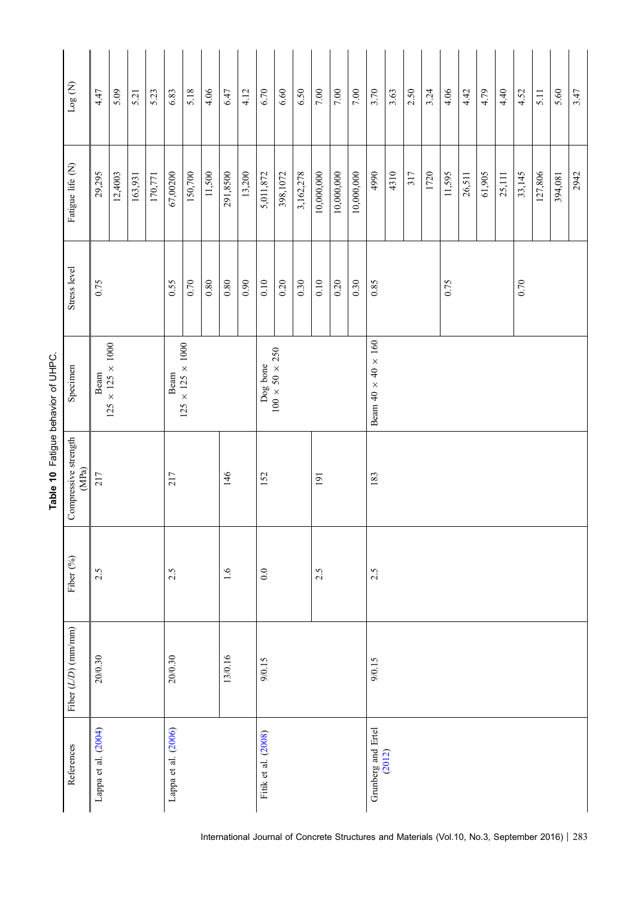<span id="page-12-0"></span>

|                                                           | $\log$ (N)            | 4.47                                                                         | 5.09    | 5.21    | 5.23    | 6.83                | 5.18    | 4.06     | 6.47       | 4.12                                   | $6.70\,$            | 6.60     | 6.50      | $7.00\,$   | $7.00\,$                       | $7.00\,$   | 3.70               | 3.63   | 2.50 | 3.24 | 4.06   | 4.42   | 4.79   | 4.40   | 4.52   | 5.11    | 5.60    | 3.47 |
|-----------------------------------------------------------|-----------------------|------------------------------------------------------------------------------|---------|---------|---------|---------------------|---------|----------|------------|----------------------------------------|---------------------|----------|-----------|------------|--------------------------------|------------|--------------------|--------|------|------|--------|--------|--------|--------|--------|---------|---------|------|
|                                                           | Fatigue life (N)      | 29,295                                                                       | 12,4003 | 163,931 | 170,771 | 67,00200            | 150,700 | 11,500   | 291,8500   | 13,200                                 | 5,011,872           | 398,1072 | 3,162,278 | 10,000,000 | 10,000,000                     | 10,000,000 | 4990               | 4310   | 317  | 1720 | 11,595 | 26,511 | 61,905 | 25,111 | 33,145 | 127,806 | 394,081 | 2942 |
|                                                           | Stress level          | 0.75                                                                         |         |         |         | 0.55                | 0.70    | $0.80\,$ | $0.80\,$   | 0.90                                   | 0.10                | 0.20     | 0.30      | $0.10\,$   | 0.20                           | 0.30       | 0.85               |        |      |      | 0.75   |        |        |        | 0.70   |         |         |      |
| Table 10 Fatigue behavior of UHPC.<br>Specimen<br>$(MPa)$ |                       | $125 \times 125 \times 1000$<br>$125 \times 125 \times 1000$<br>Beam<br>Beam |         |         |         |                     |         |          |            | $100 \times 50 \times 250$<br>Dog bone |                     |          |           |            | Beam $40 \times 40 \times 160$ |            |                    |        |      |      |        |        |        |        |        |         |         |      |
|                                                           | Compressive strength  | <b>217</b><br>217                                                            |         |         |         |                     |         | 146      |            | 152                                    |                     |          | 191       |            |                                | 183        |                    |        |      |      |        |        |        |        |        |         |         |      |
|                                                           | Fiber (%)             | 2.5                                                                          |         |         |         | 2.5                 |         |          | $\ddot{0}$ |                                        | 0.0                 |          |           | 2.5        |                                |            | 2.5                |        |      |      |        |        |        |        |        |         |         |      |
|                                                           | Fiber $(L/D)$ (mm/mm) | 20/0.30                                                                      |         |         |         | 20/0.30             |         |          | 13/0.16    |                                        | 9/0.15              |          |           |            |                                |            | 9/0.15             |        |      |      |        |        |        |        |        |         |         |      |
|                                                           | References            | Lappa et al. (2004)                                                          |         |         |         | Lappa et al. (2006) |         |          |            |                                        | Fitik et al. (2008) |          |           |            |                                |            | Grunberg and Ertel | (2012) |      |      |        |        |        |        |        |         |         |      |

International Journal of Concrete Structures and Materials (Vol.10, No.3, September 2016) | 283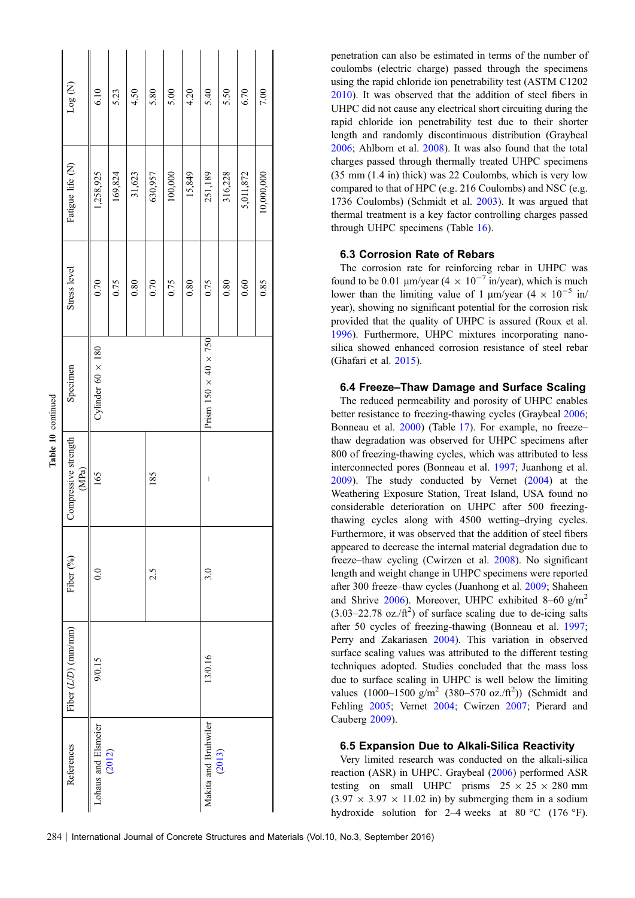|                    | Log(M)                        | 6.10                          | 5.23    | 4.50   | 5.80    | 5.00    | 4.20   | 5.40                               | 5.50    | 6.70      | 7.00       |
|--------------------|-------------------------------|-------------------------------|---------|--------|---------|---------|--------|------------------------------------|---------|-----------|------------|
| Table 10 continued | Fatigue life (N)              | 1,258,925                     | 169,824 | 31,623 | 630,957 | 100,000 | 15,849 | 251,189                            | 316,228 | 5,011,872 | 10,000,000 |
|                    | Stress level                  | 0.70                          | 0.75    | 0.80   | 0.70    | 0.75    | 0.80   | 0.75                               | 0.80    | 0.60      | 0.85       |
|                    | Specimen                      | Cylinder 60 $\times$ 180      |         |        |         |         |        | Prism 150 $\times$ 40 $\times$ 750 |         |           |            |
|                    | Compressive strength<br>(MPa) | 165                           |         |        | 185     |         |        | $\begin{array}{c} \end{array}$     |         |           |            |
|                    | Fiber (%)                     | $\frac{0}{2}$                 |         |        | 2.5     |         |        | 3.0                                |         |           |            |
|                    | Fiber $(L/D)$ (mm/mm)         | 9/0.15                        |         |        |         |         |        | 13/0.16                            |         |           |            |
|                    | References                    | Lohaus and Elsmeier<br>(2012) |         |        |         |         |        | Makita and Bruhwiler               | (2013)  |           |            |

penetration can also be estimated in terms of the number of coulombs (electric charge) passed through the specimens using the rapid chloride ion penetrability test (ASTM C1202 [2010](#page-18-0)). It was observed that the addition of steel fibers in UHPC did not cause any electrical short circuiting during the rapid chloride ion penetrability test due to their shorter length and randomly discontinuous distribution (Graybeal [2006](#page-19-0); Ahlborn et al. [2008\)](#page-18-0). It was also found that the total charges passed through thermally treated UHPC specimens (35 mm (1.4 in) thick) was 22 Coulombs, which is very low compared to that of HPC (e.g. 216 Coulombs) and NSC (e.g. 1736 Coulombs) (Schmidt et al. [2003\)](#page-22-0). It was argued that thermal treatment is a key factor controlling charges passed through UHPC specimens (Table [16](#page-16-0)).

#### 6.3 Corrosion Rate of Rebars

The corrosion rate for reinforcing rebar in UHPC was found to be 0.01  $\mu$ m/year (4  $\times$  10<sup>-7</sup> in/year), which is much lower than the limiting value of 1  $\mu$ m/year (4  $\times$  10<sup>-5</sup> in/ year), showing no significant potential for the corrosion risk provided that the quality of UHPC is assured (Roux et al. [1996](#page-22-0)). Furthermore, UHPC mixtures incorporating nanosilica showed enhanced corrosion resistance of steel rebar (Ghafari et al. [2015](#page-19-0)).

#### 6.4 Freeze–Thaw Damage and Surface Scaling

The reduced permeability and porosity of UHPC enables better resistance to freezing-thawing cycles (Graybeal [2006;](#page-19-0) Bonneau et al. [2000\)](#page-18-0) (Table [17](#page-16-0)). For example, no freeze– thaw degradation was observed for UHPC specimens after 800 of freezing-thawing cycles, which was attributed to less interconnected pores (Bonneau et al. [1997](#page-18-0); Juanhong et al. [2009](#page-20-0)). The study conducted by Vernet ([2004\)](#page-23-0) at the Weathering Exposure Station, Treat Island, USA found no considerable deterioration on UHPC after 500 freezingthawing cycles along with 4500 wetting–drying cycles. Furthermore, it was observed that the addition of steel fibers appeared to decrease the internal material degradation due to freeze–thaw cycling (Cwirzen et al. [2008](#page-19-0)). No significant length and weight change in UHPC specimens were reported after 300 freeze–thaw cycles (Juanhong et al. [2009](#page-20-0); Shaheen and Shrive  $2006$ ). Moreover, UHPC exhibited 8–60 g/m<sup>2</sup>  $(3.03-22.78 \text{ oz.}/\text{ft}^2)$  of surface scaling due to de-icing salts after 50 cycles of freezing-thawing (Bonneau et al. [1997;](#page-18-0) Perry and Zakariasen [2004\)](#page-21-0). This variation in observed surface scaling values was attributed to the different testing techniques adopted. Studies concluded that the mass loss due to surface scaling in UHPC is well below the limiting values  $(1000 - 1500 \text{ g/m}^2 (380 - 570 \text{ oz./ft}^2))$  (Schmidt and Fehling [2005](#page-22-0); Vernet [2004;](#page-23-0) Cwirzen [2007](#page-19-0); Pierard and Cauberg [2009](#page-21-0)).

#### 6.5 Expansion Due to Alkali-Silica Reactivity

Very limited research was conducted on the alkali-silica reaction (ASR) in UHPC. Graybeal ([2006\)](#page-19-0) performed ASR testing on small UHPC prisms  $25 \times 25 \times 280$  mm  $(3.97 \times 3.97 \times 11.02 \text{ in})$  by submerging them in a sodium hydroxide solution for 2–4 weeks at 80 °C (176 °F).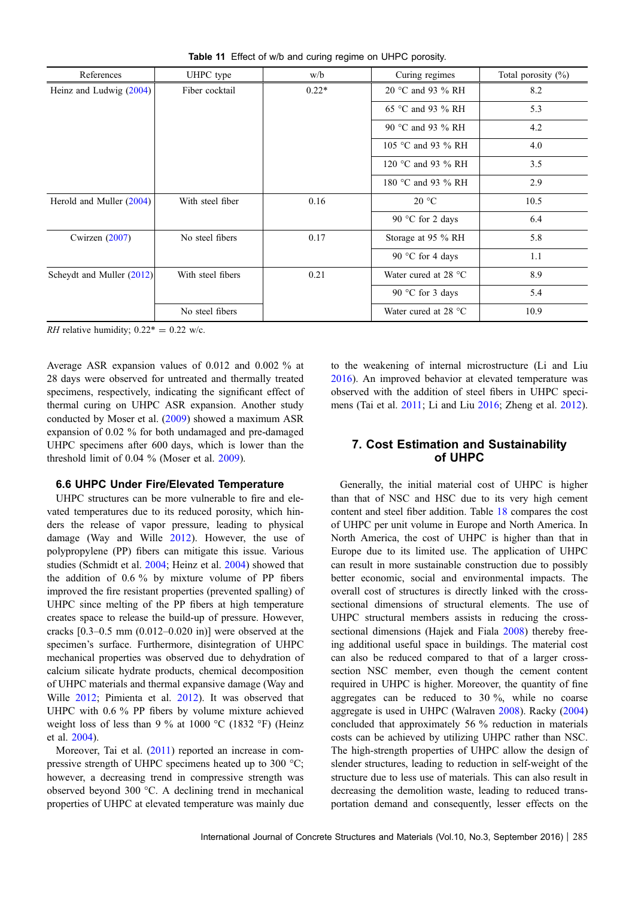<span id="page-14-0"></span>

| References                | UHPC type         | w/b     | Curing regimes                 | Total porosity (%) |
|---------------------------|-------------------|---------|--------------------------------|--------------------|
| Heinz and Ludwig (2004)   | Fiber cocktail    | $0.22*$ | 20 °C and 93 % RH              | 8.2                |
|                           |                   |         | 65 °C and 93 % RH              | 5.3                |
|                           |                   |         | 90 °C and 93 % RH              | 4.2                |
|                           |                   |         | 105 °C and 93 $\%$ RH          | 4.0                |
|                           |                   |         | 120 °C and 93 % RH             | 3.5                |
|                           |                   |         | 180 °C and 93 % RH             | 2.9                |
| Herold and Muller (2004)  | With steel fiber  | 0.16    | 20 °C                          | 10.5               |
|                           |                   |         | 90 °C for 2 days               | 6.4                |
| Cwirzen $(2007)$          | No steel fibers   | 0.17    | Storage at 95 % RH             | 5.8                |
|                           |                   |         | 90 °C for 4 days               | 1.1                |
| Scheydt and Muller (2012) | With steel fibers | 0.21    | Water cured at 28 $^{\circ}$ C | 8.9                |
|                           |                   |         | 90 °C for 3 days               | 5.4                |
|                           | No steel fibers   |         | Water cured at 28 $^{\circ}$ C | 10.9               |

Table 11 Effect of w/b and curing regime on UHPC porosity.

*RH* relative humidity;  $0.22^* = 0.22$  w/c.

Average ASR expansion values of 0.012 and 0.002 % at 28 days were observed for untreated and thermally treated specimens, respectively, indicating the significant effect of thermal curing on UHPC ASR expansion. Another study conducted by Moser et al. [\(2009](#page-21-0)) showed a maximum ASR expansion of 0.02 % for both undamaged and pre-damaged UHPC specimens after 600 days, which is lower than the threshold limit of 0.04 % (Moser et al. [2009\)](#page-21-0).

#### 6.6 UHPC Under Fire/Elevated Temperature

UHPC structures can be more vulnerable to fire and elevated temperatures due to its reduced porosity, which hinders the release of vapor pressure, leading to physical damage (Way and Wille [2012](#page-23-0)). However, the use of polypropylene (PP) fibers can mitigate this issue. Various studies (Schmidt et al. [2004;](#page-22-0) Heinz et al. [2004\)](#page-23-0) showed that the addition of 0.6 % by mixture volume of PP fibers improved the fire resistant properties (prevented spalling) of UHPC since melting of the PP fibers at high temperature creates space to release the build-up of pressure. However, cracks  $[0.3-0.5 \text{ mm } (0.012-0.020 \text{ in})]$  were observed at the specimen's surface. Furthermore, disintegration of UHPC mechanical properties was observed due to dehydration of calcium silicate hydrate products, chemical decomposition of UHPC materials and thermal expansive damage (Way and Wille [2012;](#page-23-0) Pimienta et al. [2012](#page-22-0)). It was observed that UHPC with 0.6 % PP fibers by volume mixture achieved weight loss of less than 9 % at 1000 °C (1832 °F) (Heinz et al. [2004](#page-23-0)).

Moreover, Tai et al. ([2011\)](#page-23-0) reported an increase in compressive strength of UHPC specimens heated up to 300  $^{\circ}$ C; however, a decreasing trend in compressive strength was observed beyond 300 °C. A declining trend in mechanical properties of UHPC at elevated temperature was mainly due to the weakening of internal microstructure (Li and Liu [2016](#page-21-0)). An improved behavior at elevated temperature was observed with the addition of steel fibers in UHPC specimens (Tai et al. [2011;](#page-23-0) Li and Liu [2016](#page-21-0); Zheng et al. [2012\)](#page-24-0).

## 7. Cost Estimation and Sustainability of UHPC

Generally, the initial material cost of UHPC is higher than that of NSC and HSC due to its very high cement content and steel fiber addition. Table [18](#page-17-0) compares the cost of UHPC per unit volume in Europe and North America. In North America, the cost of UHPC is higher than that in Europe due to its limited use. The application of UHPC can result in more sustainable construction due to possibly better economic, social and environmental impacts. The overall cost of structures is directly linked with the crosssectional dimensions of structural elements. The use of UHPC structural members assists in reducing the cross-sectional dimensions (Hajek and Fiala [2008\)](#page-20-0) thereby freeing additional useful space in buildings. The material cost can also be reduced compared to that of a larger crosssection NSC member, even though the cement content required in UHPC is higher. Moreover, the quantity of fine aggregates can be reduced to 30 %, while no coarse aggregate is used in UHPC (Walraven [2008\)](#page-23-0). Racky [\(2004](#page-22-0)) concluded that approximately 56 % reduction in materials costs can be achieved by utilizing UHPC rather than NSC. The high-strength properties of UHPC allow the design of slender structures, leading to reduction in self-weight of the structure due to less use of materials. This can also result in decreasing the demolition waste, leading to reduced transportation demand and consequently, lesser effects on the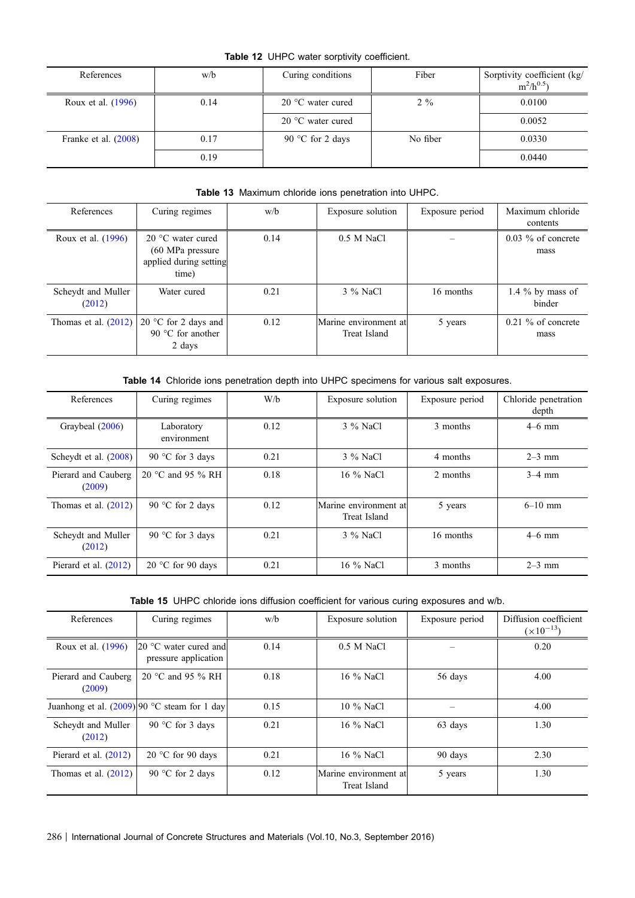## Table 12 UHPC water sorptivity coefficient.

<span id="page-15-0"></span>

| References             | w/b  | Curing conditions          | Fiber    | Sorptivity coefficient (kg/<br>$m^2/h^{0.5}$ |
|------------------------|------|----------------------------|----------|----------------------------------------------|
| Roux et al. (1996)     | 0.14 | 20 $\degree$ C water cured | $2\%$    | 0.0100                                       |
|                        |      | 20 $\degree$ C water cured |          | 0.0052                                       |
| Franke et al. $(2008)$ | 0.17 | 90 °C for 2 days           | No fiber | 0.0330                                       |
|                        | 0.19 |                            |          | 0.0440                                       |

## Table 13 Maximum chloride ions penetration into UHPC.

| References             | Curing regimes                | w/b  | Exposure solution     | Exposure period | Maximum chloride     |
|------------------------|-------------------------------|------|-----------------------|-----------------|----------------------|
|                        |                               |      |                       |                 |                      |
|                        |                               |      |                       |                 | contents             |
| Roux et al. (1996)     | 20 $\degree$ C water cured    | 0.14 | 0.5 M NaCl            |                 | $0.03\%$ of concrete |
|                        | $(60 \text{ MPa pressure})$   |      |                       |                 | mass                 |
|                        | applied during setting        |      |                       |                 |                      |
|                        |                               |      |                       |                 |                      |
|                        | time)                         |      |                       |                 |                      |
|                        |                               |      |                       |                 |                      |
| Scheydt and Muller     | Water cured                   | 0.21 | 3 % NaCl              | 16 months       | 1.4 $\%$ by mass of  |
| (2012)                 |                               |      |                       |                 | binder               |
|                        |                               |      |                       |                 |                      |
| Thomas et al. $(2012)$ | 20 $\degree$ C for 2 days and | 0.12 | Marine environment at | 5 years         | $0.21\%$ of concrete |
|                        | 90 $\degree$ C for another    |      | Treat Island          |                 | mass                 |
|                        | 2 days                        |      |                       |                 |                      |
|                        |                               |      |                       |                 |                      |

Table 14 Chloride ions penetration depth into UHPC specimens for various salt exposures.

| References                    | Curing regimes             | W/b  | Exposure solution                     | Exposure period | Chloride penetration<br>depth |
|-------------------------------|----------------------------|------|---------------------------------------|-----------------|-------------------------------|
| Graybeal (2006)               | Laboratory<br>environment  | 0.12 | 3 % NaCl                              | 3 months        | $4-6$ mm                      |
| Scheydt et al. $(2008)$       | 90 °C for 3 days           | 0.21 | 3 % NaCl                              | 4 months        | $2-3$ mm                      |
| Pierard and Cauberg<br>(2009) | 20 °C and 95 $\%$ RH       | 0.18 | 16 % NaCl                             | 2 months        | $3-4$ mm                      |
| Thomas et al. $(2012)$        | 90 °C for 2 days           | 0.12 | Marine environment at<br>Treat Island | 5 years         | $6 - 10$ mm                   |
| Scheydt and Muller<br>(2012)  | 90 °C for 3 days           | 0.21 | 3 % NaCl                              | 16 months       | $4-6$ mm                      |
| Pierard et al. $(2012)$       | 20 $\degree$ C for 90 days | 0.21 | 16 % NaCl                             | 3 months        | $2-3$ mm                      |

| Table 15 UHPC chloride ions diffusion coefficient for various curing exposures and w/b. |  |  |
|-----------------------------------------------------------------------------------------|--|--|
|-----------------------------------------------------------------------------------------|--|--|

| References                    | Curing regimes                                         | w/b  | Exposure solution                     | Exposure period | Diffusion coefficient<br>$(\times 10^{-13})$ |
|-------------------------------|--------------------------------------------------------|------|---------------------------------------|-----------------|----------------------------------------------|
| Roux et al. (1996)            | $20^{\circ}$ C water cured and<br>pressure application | 0.14 | 0.5 M NaCl                            |                 | 0.20                                         |
| Pierard and Cauberg<br>(2009) | 20 °C and 95 % RH                                      | 0.18 | 16 % NaCl                             | 56 days         | 4.00                                         |
|                               | Juanhong et al. $(2009)$ 90 °C steam for 1 day         | 0.15 | 10 % NaCl                             |                 | 4.00                                         |
| Scheydt and Muller<br>(2012)  | 90 °C for 3 days                                       | 0.21 | 16 % NaCl                             | 63 days         | 1.30                                         |
| Pierard et al. $(2012)$       | 20 $\degree$ C for 90 days                             | 0.21 | 16 % NaCl                             | 90 days         | 2.30                                         |
| Thomas et al. $(2012)$        | 90 °C for 2 days                                       | 0.12 | Marine environment at<br>Treat Island | 5 years         | 1.30                                         |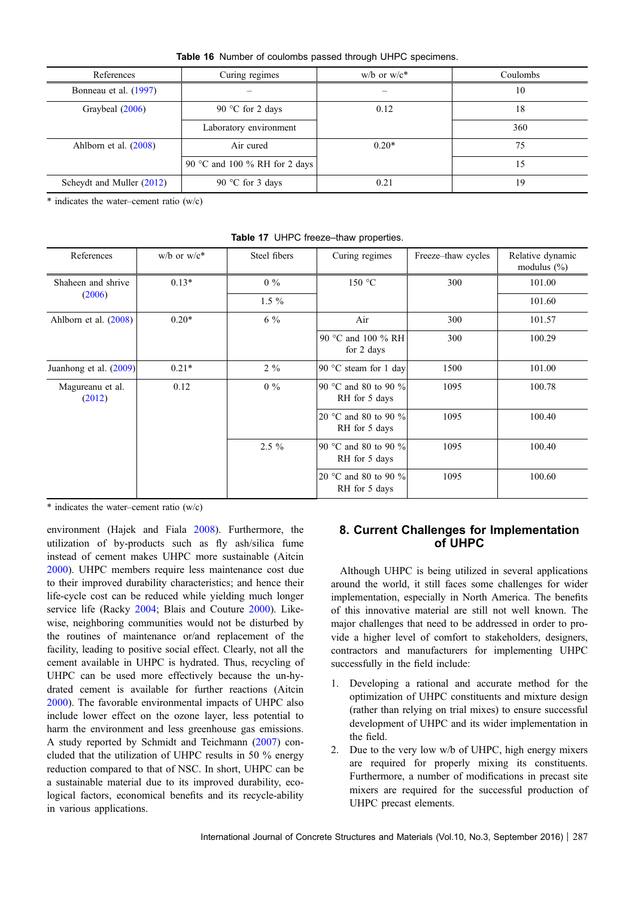Table 16 Number of coulombs passed through UHPC specimens.

<span id="page-16-0"></span>

| References                | Curing regimes                | $w/b$ or $w/c^*$ | Coulombs |
|---------------------------|-------------------------------|------------------|----------|
| Bonneau et al. (1997)     |                               |                  | 10       |
| Graybeal (2006)           | 90 °C for 2 days              | 0.12             | 18       |
|                           | Laboratory environment        |                  | 360      |
| Ahlborn et al. $(2008)$   | Air cured                     | $0.20*$          | 75       |
|                           | 90 °C and 100 % RH for 2 days |                  | 15       |
| Scheydt and Muller (2012) | 90 °C for 3 days              | 0.21             | 19       |

 $*$  indicates the water–cement ratio (w/c)

| References                 | $w/b$ or $w/c^*$ | Steel fibers | Curing regimes                        | Freeze–thaw cycles | Relative dynamic<br>modulus $(\% )$ |
|----------------------------|------------------|--------------|---------------------------------------|--------------------|-------------------------------------|
| Shaheen and shrive         | $0.13*$          | $0\%$        | 150 °C                                | 300                | 101.00                              |
| (2006)                     |                  | $1.5\%$      |                                       |                    | 101.60                              |
| Ahlborn et al. $(2008)$    | $0.20*$          | $6\%$        | Air                                   | 300                | 101.57                              |
|                            |                  |              | 90 °C and 100 % RH<br>for 2 days      | 300                | 100.29                              |
| Juanhong et al. (2009)     | $0.21*$          | $2\%$        | 90 $\degree$ C steam for 1 day        | 1500               | 101.00                              |
| Magureanu et al.<br>(2012) | 0.12             | $0\%$        | 90 °C and 80 to 90 %<br>RH for 5 days | 1095               | 100.78                              |
|                            |                  |              | 20 °C and 80 to 90 %<br>RH for 5 days | 1095               | 100.40                              |
|                            |                  | $2.5\%$      | 90 °C and 80 to 90 %<br>RH for 5 days | 1095               | 100.40                              |
|                            |                  |              | 20 °C and 80 to 90 %<br>RH for 5 days | 1095               | 100.60                              |

Table 17 UHPC freeze-thaw properties.

 $*$  indicates the water–cement ratio (w/c)

environment (Hajek and Fiala [2008\)](#page-20-0). Furthermore, the utilization of by-products such as fly ash/silica fume instead of cement makes UHPC more sustainable (Aitcin [2000\)](#page-18-0). UHPC members require less maintenance cost due to their improved durability characteristics; and hence their life-cycle cost can be reduced while yielding much longer service life (Racky [2004;](#page-22-0) Blais and Couture [2000](#page-18-0)). Likewise, neighboring communities would not be disturbed by the routines of maintenance or/and replacement of the facility, leading to positive social effect. Clearly, not all the cement available in UHPC is hydrated. Thus, recycling of UHPC can be used more effectively because the un-hydrated cement is available for further reactions (Aitcin [2000\)](#page-18-0). The favorable environmental impacts of UHPC also include lower effect on the ozone layer, less potential to harm the environment and less greenhouse gas emissions. A study reported by Schmidt and Teichmann ([2007\)](#page-22-0) concluded that the utilization of UHPC results in 50 % energy reduction compared to that of NSC. In short, UHPC can be a sustainable material due to its improved durability, ecological factors, economical benefits and its recycle-ability in various applications.

## 8. Current Challenges for Implementation of UHPC

Although UHPC is being utilized in several applications around the world, it still faces some challenges for wider implementation, especially in North America. The benefits of this innovative material are still not well known. The major challenges that need to be addressed in order to provide a higher level of comfort to stakeholders, designers, contractors and manufacturers for implementing UHPC successfully in the field include:

- 1. Developing a rational and accurate method for the optimization of UHPC constituents and mixture design (rather than relying on trial mixes) to ensure successful development of UHPC and its wider implementation in the field.
- 2. Due to the very low w/b of UHPC, high energy mixers are required for properly mixing its constituents. Furthermore, a number of modifications in precast site mixers are required for the successful production of UHPC precast elements.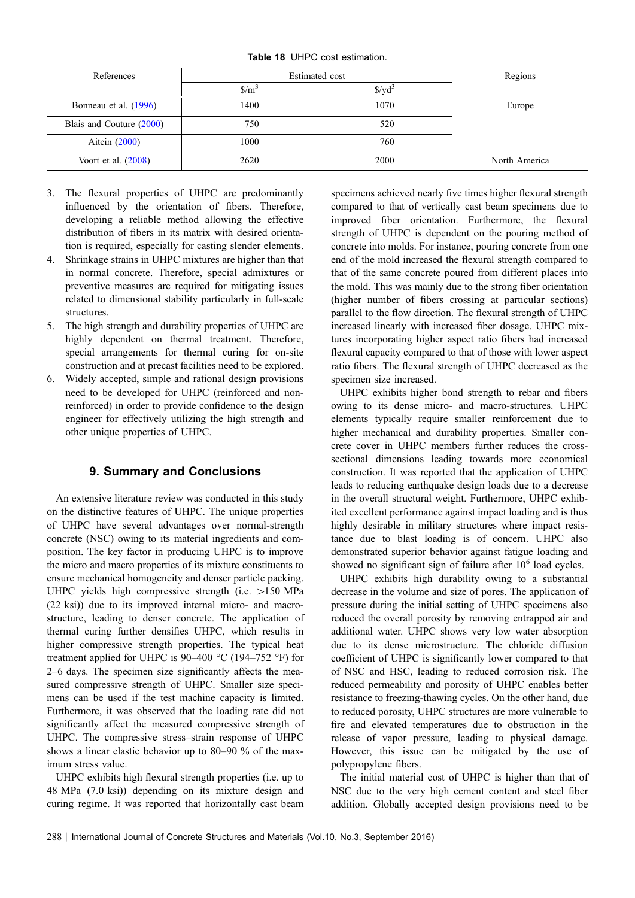Table 18 UHPC cost estimation.

<span id="page-17-0"></span>

| References               | Estimated cost              | Regions |               |
|--------------------------|-----------------------------|---------|---------------|
|                          | $\frac{\text{m}}{\text{m}}$ | \$/vd   |               |
| Bonneau et al. (1996)    | 1400                        | 1070    | Europe        |
| Blais and Couture (2000) | 750                         | 520     |               |
| Aitcin $(2000)$          | 1000                        | 760     |               |
| Voort et al. $(2008)$    | 2620                        | 2000    | North America |

- 3. The flexural properties of UHPC are predominantly influenced by the orientation of fibers. Therefore, developing a reliable method allowing the effective distribution of fibers in its matrix with desired orientation is required, especially for casting slender elements.
- 4. Shrinkage strains in UHPC mixtures are higher than that in normal concrete. Therefore, special admixtures or preventive measures are required for mitigating issues related to dimensional stability particularly in full-scale structures.
- 5. The high strength and durability properties of UHPC are highly dependent on thermal treatment. Therefore, special arrangements for thermal curing for on-site construction and at precast facilities need to be explored.
- 6. Widely accepted, simple and rational design provisions need to be developed for UHPC (reinforced and nonreinforced) in order to provide confidence to the design engineer for effectively utilizing the high strength and other unique properties of UHPC.

## 9. Summary and Conclusions

An extensive literature review was conducted in this study on the distinctive features of UHPC. The unique properties of UHPC have several advantages over normal-strength concrete (NSC) owing to its material ingredients and composition. The key factor in producing UHPC is to improve the micro and macro properties of its mixture constituents to ensure mechanical homogeneity and denser particle packing. UHPC yields high compressive strength (i.e.  $>150$  MPa (22 ksi)) due to its improved internal micro- and macrostructure, leading to denser concrete. The application of thermal curing further densifies UHPC, which results in higher compressive strength properties. The typical heat treatment applied for UHPC is 90–400 °C (194–752 °F) for 2–6 days. The specimen size significantly affects the measured compressive strength of UHPC. Smaller size specimens can be used if the test machine capacity is limited. Furthermore, it was observed that the loading rate did not significantly affect the measured compressive strength of UHPC. The compressive stress–strain response of UHPC shows a linear elastic behavior up to 80–90 % of the maximum stress value.

UHPC exhibits high flexural strength properties (i.e. up to 48 MPa (7.0 ksi)) depending on its mixture design and curing regime. It was reported that horizontally cast beam specimens achieved nearly five times higher flexural strength compared to that of vertically cast beam specimens due to improved fiber orientation. Furthermore, the flexural strength of UHPC is dependent on the pouring method of concrete into molds. For instance, pouring concrete from one end of the mold increased the flexural strength compared to that of the same concrete poured from different places into the mold. This was mainly due to the strong fiber orientation (higher number of fibers crossing at particular sections) parallel to the flow direction. The flexural strength of UHPC increased linearly with increased fiber dosage. UHPC mixtures incorporating higher aspect ratio fibers had increased flexural capacity compared to that of those with lower aspect ratio fibers. The flexural strength of UHPC decreased as the specimen size increased.

UHPC exhibits higher bond strength to rebar and fibers owing to its dense micro- and macro-structures. UHPC elements typically require smaller reinforcement due to higher mechanical and durability properties. Smaller concrete cover in UHPC members further reduces the crosssectional dimensions leading towards more economical construction. It was reported that the application of UHPC leads to reducing earthquake design loads due to a decrease in the overall structural weight. Furthermore, UHPC exhibited excellent performance against impact loading and is thus highly desirable in military structures where impact resistance due to blast loading is of concern. UHPC also demonstrated superior behavior against fatigue loading and showed no significant sign of failure after  $10^6$  load cycles.

UHPC exhibits high durability owing to a substantial decrease in the volume and size of pores. The application of pressure during the initial setting of UHPC specimens also reduced the overall porosity by removing entrapped air and additional water. UHPC shows very low water absorption due to its dense microstructure. The chloride diffusion coefficient of UHPC is significantly lower compared to that of NSC and HSC, leading to reduced corrosion risk. The reduced permeability and porosity of UHPC enables better resistance to freezing-thawing cycles. On the other hand, due to reduced porosity, UHPC structures are more vulnerable to fire and elevated temperatures due to obstruction in the release of vapor pressure, leading to physical damage. However, this issue can be mitigated by the use of polypropylene fibers.

The initial material cost of UHPC is higher than that of NSC due to the very high cement content and steel fiber addition. Globally accepted design provisions need to be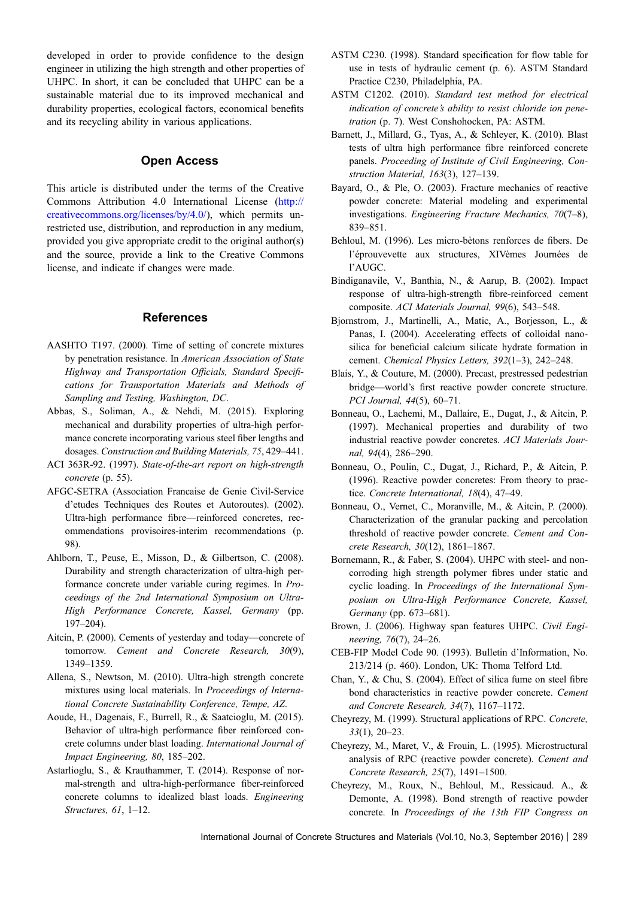<span id="page-18-0"></span>developed in order to provide confidence to the design engineer in utilizing the high strength and other properties of UHPC. In short, it can be concluded that UHPC can be a sustainable material due to its improved mechanical and durability properties, ecological factors, economical benefits and its recycling ability in various applications.

#### Open Access

This article is distributed under the terms of the Creative Commons Attribution 4.0 International License ([http://](http://creativecommons.org/licenses/by/4.0/) [creativecommons.org/licenses/by/4.0/\)](http://creativecommons.org/licenses/by/4.0/), which permits unrestricted use, distribution, and reproduction in any medium, provided you give appropriate credit to the original author(s) and the source, provide a link to the Creative Commons license, and indicate if changes were made.

#### References

- AASHTO T197. (2000). Time of setting of concrete mixtures by penetration resistance. In *American Association of State Highway and Transportation Officials, Standard Specifications for Transportation Materials and Methods of Sampling and Testing, Washington, DC*.
- Abbas, S., Soliman, A., & Nehdi, M. (2015). Exploring mechanical and durability properties of ultra-high performance concrete incorporating various steel fiber lengths and dosages. *Construction and Building Materials, 75*, 429–441.
- ACI 363R-92. (1997). *State-of-the-art report on high-strength concrete* (p. 55).
- AFGC-SETRA (Association Francaise de Genie Civil-Service d'etudes Techniques des Routes et Autoroutes). (2002). Ultra-high performance fibre—reinforced concretes, recommendations provisoires-interim recommendations (p. 98).
- Ahlborn, T., Peuse, E., Misson, D., & Gilbertson, C. (2008). Durability and strength characterization of ultra-high performance concrete under variable curing regimes. In *Proceedings of the 2nd International Symposium on Ultra-High Performance Concrete, Kassel, Germany* (pp. 197–204).
- Aitcin, P. (2000). Cements of yesterday and today—concrete of tomorrow. *Cement and Concrete Research, 30*(9), 1349–1359.
- Allena, S., Newtson, M. (2010). Ultra-high strength concrete mixtures using local materials. In *Proceedings of International Concrete Sustainability Conference, Tempe, AZ*.
- Aoude, H., Dagenais, F., Burrell, R., & Saatcioglu, M. (2015). Behavior of ultra-high performance fiber reinforced concrete columns under blast loading. *International Journal of Impact Engineering, 80*, 185–202.
- Astarlioglu, S., & Krauthammer, T. (2014). Response of normal-strength and ultra-high-performance fiber-reinforced concrete columns to idealized blast loads. *Engineering Structures, 61*, 1–12.
- ASTM C230. (1998). Standard specification for flow table for use in tests of hydraulic cement (p. 6). ASTM Standard Practice C230, Philadelphia, PA.
- ASTM C1202. (2010). *Standard test method for electrical indication of concrete's ability to resist chloride ion penetration* (p. 7). West Conshohocken, PA: ASTM.
- Barnett, J., Millard, G., Tyas, A., & Schleyer, K. (2010). Blast tests of ultra high performance fibre reinforced concrete panels. *Proceeding of Institute of Civil Engineering, Construction Material, 163*(3), 127–139.
- Bayard, O., & Ple, O. (2003). Fracture mechanics of reactive powder concrete: Material modeling and experimental investigations. *Engineering Fracture Mechanics, 70*(7–8), 839–851.
- Behloul, M. (1996). Les micro-bètons renforces de fibers. De l'éprouvevette aux structures, XIVèmes Journées de l'AUGC.
- Bindiganavile, V., Banthia, N., & Aarup, B. (2002). Impact response of ultra-high-strength fibre-reinforced cement composite. *ACI Materials Journal, 99*(6), 543–548.
- Bjornstrom, J., Martinelli, A., Matic, A., Borjesson, L., & Panas, I. (2004). Accelerating effects of colloidal nanosilica for beneficial calcium silicate hydrate formation in cement. *Chemical Physics Letters, 392*(1–3), 242–248.
- Blais, Y., & Couture, M. (2000). Precast, prestressed pedestrian bridge—world's first reactive powder concrete structure. *PCI Journal, 44*(5), 60–71.
- Bonneau, O., Lachemi, M., Dallaire, E., Dugat, J., & Aitcin, P. (1997). Mechanical properties and durability of two industrial reactive powder concretes. *ACI Materials Journal, 94*(4), 286–290.
- Bonneau, O., Poulin, C., Dugat, J., Richard, P., & Aitcin, P. (1996). Reactive powder concretes: From theory to practice. *Concrete International, 18*(4), 47–49.
- Bonneau, O., Vernet, C., Moranville, M., & Aitcin, P. (2000). Characterization of the granular packing and percolation threshold of reactive powder concrete. *Cement and Concrete Research, 30*(12), 1861–1867.
- Bornemann, R., & Faber, S. (2004). UHPC with steel- and noncorroding high strength polymer fibres under static and cyclic loading. In *Proceedings of the International Symposium on Ultra-High Performance Concrete, Kassel, Germany* (pp. 673–681).
- Brown, J. (2006). Highway span features UHPC. *Civil Engineering, 76*(7), 24–26.
- CEB-FIP Model Code 90. (1993). Bulletin d'Information, No. 213/214 (p. 460). London, UK: Thoma Telford Ltd.
- Chan, Y., & Chu, S. (2004). Effect of silica fume on steel fibre bond characteristics in reactive powder concrete. *Cement and Concrete Research, 34*(7), 1167–1172.
- Cheyrezy, M. (1999). Structural applications of RPC. *Concrete, 33*(1), 20–23.
- Cheyrezy, M., Maret, V., & Frouin, L. (1995). Microstructural analysis of RPC (reactive powder concrete). *Cement and Concrete Research, 25*(7), 1491–1500.
- Cheyrezy, M., Roux, N., Behloul, M., Ressicaud. A., & Demonte, A. (1998). Bond strength of reactive powder concrete. In *Proceedings of the 13th FIP Congress on*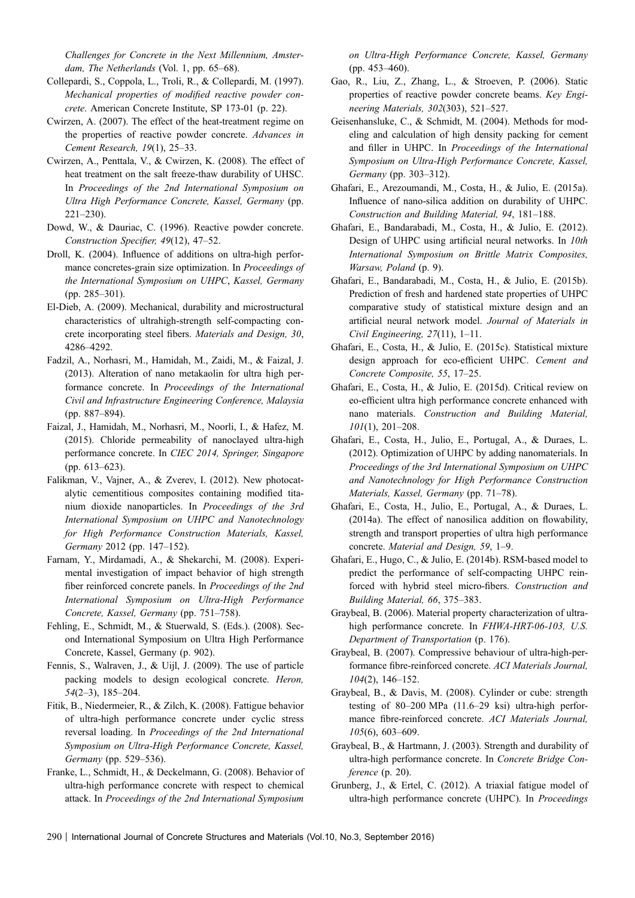<span id="page-19-0"></span>*Challenges for Concrete in the Next Millennium, Amsterdam, The Netherlands* (Vol. 1, pp. 65–68).

- Collepardi, S., Coppola, L., Troli, R., & Collepardi, M. (1997). *Mechanical properties of modified reactive powder concrete*. American Concrete Institute, SP 173-01 (p. 22).
- Cwirzen, A. (2007). The effect of the heat-treatment regime on the properties of reactive powder concrete. *Advances in Cement Research, 19*(1), 25–33.
- Cwirzen, A., Penttala, V., & Cwirzen, K. (2008). The effect of heat treatment on the salt freeze-thaw durability of UHSC. In *Proceedings of the 2nd International Symposium on Ultra High Performance Concrete, Kassel, Germany* (pp. 221–230).
- Dowd, W., & Dauriac, C. (1996). Reactive powder concrete. *Construction Specifier, 49*(12), 47–52.
- Droll, K. (2004). Influence of additions on ultra-high performance concretes-grain size optimization. In *Proceedings of the International Symposium on UHPC*, *Kassel, Germany* (pp. 285–301).
- El-Dieb, A. (2009). Mechanical, durability and microstructural characteristics of ultrahigh-strength self-compacting concrete incorporating steel fibers. *Materials and Design, 30*, 4286–4292.
- Fadzil, A., Norhasri, M., Hamidah, M., Zaidi, M., & Faizal, J. (2013). Alteration of nano metakaolin for ultra high performance concrete. In *Proceedings of the International Civil and Infrastructure Engineering Conference, Malaysia* (pp. 887–894).
- Faizal, J., Hamidah, M., Norhasri, M., Noorli, I., & Hafez, M. (2015). Chloride permeability of nanoclayed ultra-high performance concrete. In *CIEC 2014, Springer, Singapore* (pp. 613–623).
- Falikman, V., Vajner, A., & Zverev, I. (2012). New photocatalytic cementitious composites containing modified titanium dioxide nanoparticles. In *Proceedings of the 3rd International Symposium on UHPC and Nanotechnology for High Performance Construction Materials, Kassel, Germany* 2012 (pp. 147–152).
- Farnam, Y., Mirdamadi, A., & Shekarchi, M. (2008). Experimental investigation of impact behavior of high strength fiber reinforced concrete panels. In *Proceedings of the 2nd International Symposium on Ultra-High Performance Concrete, Kassel, Germany* (pp. 751–758).
- Fehling, E., Schmidt, M., & Stuerwald, S. (Eds.). (2008). Second International Symposium on Ultra High Performance Concrete, Kassel, Germany (p. 902).
- Fennis, S., Walraven, J., & Uijl, J. (2009). The use of particle packing models to design ecological concrete. *Heron, 54*(2–3), 185–204.
- Fitik, B., Niedermeier, R., & Zilch, K. (2008). Fattigue behavior of ultra-high performance concrete under cyclic stress reversal loading. In *Proceedings of the 2nd International Symposium on Ultra-High Performance Concrete, Kassel, Germany* (pp. 529–536).
- Franke, L., Schmidt, H., & Deckelmann, G. (2008). Behavior of ultra-high performance concrete with respect to chemical attack. In *Proceedings of the 2nd International Symposium*

*on Ultra-High Performance Concrete, Kassel, Germany* (pp. 453–460).

- Gao, R., Liu, Z., Zhang, L., & Stroeven, P. (2006). Static properties of reactive powder concrete beams. *Key Engineering Materials, 302*(303), 521–527.
- Geisenhansluke, C., & Schmidt, M. (2004). Methods for modeling and calculation of high density packing for cement and filler in UHPC. In *Proceedings of the International Symposium on Ultra-High Performance Concrete, Kassel, Germany* (pp. 303–312).
- Ghafari, E., Arezoumandi, M., Costa, H., & Julio, E. (2015a). Influence of nano-silica addition on durability of UHPC. *Construction and Building Material, 94*, 181–188.
- Ghafari, E., Bandarabadi, M., Costa, H., & Julio, E. (2012). Design of UHPC using artificial neural networks. In *10th International Symposium on Brittle Matrix Composites, Warsaw, Poland* (p. 9).
- Ghafari, E., Bandarabadi, M., Costa, H., & Julio, E. (2015b). Prediction of fresh and hardened state properties of UHPC comparative study of statistical mixture design and an artificial neural network model. *Journal of Materials in Civil Engineering, 27*(11), 1–11.
- Ghafari, E., Costa, H., & Julio, E. (2015c). Statistical mixture design approach for eco-efficient UHPC. *Cement and Concrete Composite, 55*, 17–25.
- Ghafari, E., Costa, H., & Julio, E. (2015d). Critical review on eo-efficient ultra high performance concrete enhanced with nano materials. *Construction and Building Material, 101*(1), 201–208.
- Ghafari, E., Costa, H., Julio, E., Portugal, A., & Duraes, L. (2012). Optimization of UHPC by adding nanomaterials. In *Proceedings of the 3rd International Symposium on UHPC and Nanotechnology for High Performance Construction Materials, Kassel, Germany* (pp. 71–78).
- Ghafari, E., Costa, H., Julio, E., Portugal, A., & Duraes, L. (2014a). The effect of nanosilica addition on flowability, strength and transport properties of ultra high performance concrete. *Material and Design, 59*, 1–9.
- Ghafari, E., Hugo, C., & Julio, E. (2014b). RSM-based model to predict the performance of self-compacting UHPC reinforced with hybrid steel micro-fibers. *Construction and Building Material, 66*, 375–383.
- Graybeal, B. (2006). Material property characterization of ultrahigh performance concrete. In *FHWA-HRT-06-103, U.S. Department of Transportation* (p. 176).
- Graybeal, B. (2007). Compressive behaviour of ultra-high-performance fibre-reinforced concrete. *ACI Materials Journal, 104*(2), 146–152.
- Graybeal, B., & Davis, M. (2008). Cylinder or cube: strength testing of 80–200 MPa (11.6–29 ksi) ultra-high performance fibre-reinforced concrete. *ACI Materials Journal, 105*(6), 603–609.
- Graybeal, B., & Hartmann, J. (2003). Strength and durability of ultra-high performance concrete. In *Concrete Bridge Conference* (p. 20).
- Grunberg, J., & Ertel, C. (2012). A triaxial fatigue model of ultra-high performance concrete (UHPC). In *Proceedings*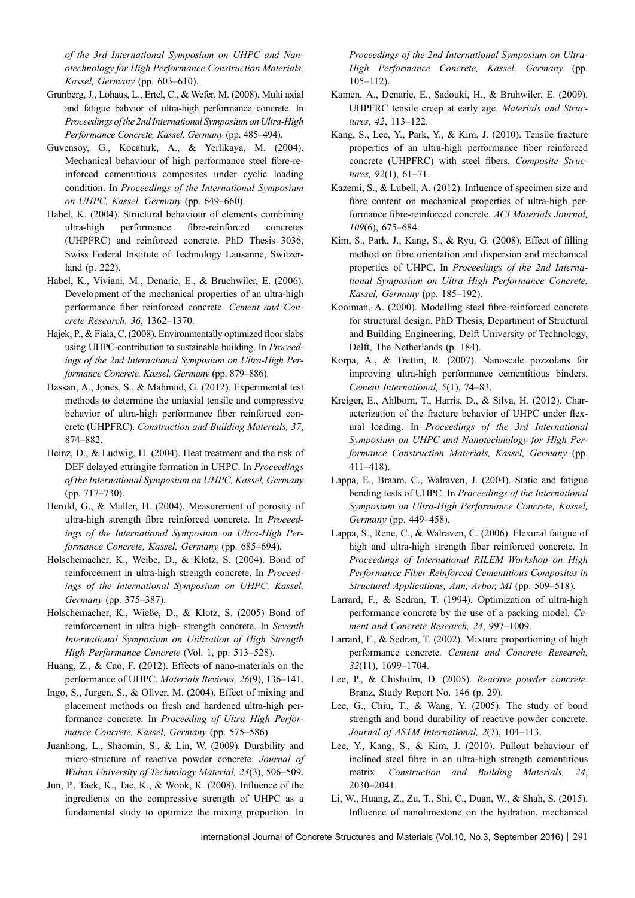<span id="page-20-0"></span>*of the 3rd International Symposium on UHPC and Nanotechnology for High Performance Construction Materials, Kassel, Germany* (pp. 603–610).

- Grunberg, J., Lohaus, L., Ertel, C., & Wefer, M. (2008). Multi axial and fatigue bahvior of ultra-high performance concrete. In *Proceedings of the 2nd International Symposium on Ultra-High Performance Concrete, Kassel, Germany* (pp. 485–494).
- Guvensoy, G., Kocaturk, A., & Yerlikaya, M. (2004). Mechanical behaviour of high performance steel fibre-reinforced cementitious composites under cyclic loading condition. In *Proceedings of the International Symposium on UHPC, Kassel, Germany* (pp. 649–660).
- Habel, K. (2004). Structural behaviour of elements combining ultra-high performance fibre-reinforced concretes (UHPFRC) and reinforced concrete. PhD Thesis 3036, Swiss Federal Institute of Technology Lausanne, Switzerland (p. 222).
- Habel, K., Viviani, M., Denarie, E., & Bruehwiler, E. (2006). Development of the mechanical properties of an ultra-high performance fiber reinforced concrete. *Cement and Concrete Research, 36*, 1362–1370.
- Hajek, P., & Fiala, C. (2008). Environmentally optimized floor slabs using UHPC-contribution to sustainable building. In *Proceedings of the 2nd International Symposium on Ultra-High Performance Concrete, Kassel, Germany* (pp. 879–886).
- Hassan, A., Jones, S., & Mahmud, G. (2012). Experimental test methods to determine the uniaxial tensile and compressive behavior of ultra-high performance fiber reinforced concrete (UHPFRC). *Construction and Building Materials, 37*, 874–882.
- Heinz, D., & Ludwig, H. (2004). Heat treatment and the risk of DEF delayed ettringite formation in UHPC. In *Proceedings of the International Symposium on UHPC, Kassel, Germany* (pp. 717–730).
- Herold, G., & Muller, H. (2004). Measurement of porosity of ultra-high strength fibre reinforced concrete. In *Proceedings of the International Symposium on Ultra-High Performance Concrete, Kassel, Germany* (pp. 685–694).
- Holschemacher, K., Weibe, D., & Klotz, S. (2004). Bond of reinforcement in ultra-high strength concrete. In *Proceedings of the International Symposium on UHPC, Kassel, Germany* (pp. 375–387).
- Holschemacher, K., Wieße, D., & Klotz, S. (2005) Bond of reinforcement in ultra high- strength concrete. In *Seventh International Symposium on Utilization of High Strength High Performance Concrete* (Vol. 1, pp. 513–528).
- Huang, Z., & Cao, F. (2012). Effects of nano-materials on the performance of UHPC. *Materials Reviews, 26*(9), 136–141.
- Ingo, S., Jurgen, S., & Ollver, M. (2004). Effect of mixing and placement methods on fresh and hardened ultra-high performance concrete. In *Proceeding of Ultra High Performance Concrete, Kassel, Germany* (pp. 575–586).
- Juanhong, L., Shaomin, S., & Lin, W. (2009). Durability and micro-structure of reactive powder concrete. *Journal of Wuhan University of Technology Material, 24*(3), 506–509.
- Jun, P., Taek, K., Tae, K., & Wook, K. (2008). Influence of the ingredients on the compressive strength of UHPC as a fundamental study to optimize the mixing proportion. In

*Proceedings of the 2nd International Symposium on Ultra-High Performance Concrete, Kassel, Germany* (pp. 105–112).

- Kamen, A., Denarie, E., Sadouki, H., & Bruhwiler, E. (2009). UHPFRC tensile creep at early age. *Materials and Structures, 42*, 113–122.
- Kang, S., Lee, Y., Park, Y., & Kim, J. (2010). Tensile fracture properties of an ultra-high performance fiber reinforced concrete (UHPFRC) with steel fibers. *Composite Structures, 92*(1), 61–71.
- Kazemi, S., & Lubell, A. (2012). Influence of specimen size and fibre content on mechanical properties of ultra-high performance fibre-reinforced concrete. *ACI Materials Journal, 109*(6), 675–684.
- Kim, S., Park, J., Kang, S., & Ryu, G. (2008). Effect of filling method on fibre orientation and dispersion and mechanical properties of UHPC. In *Proceedings of the 2nd International Symposium on Ultra High Performance Concrete, Kassel, Germany* (pp. 185–192).
- Kooiman, A. (2000). Modelling steel fibre-reinforced concrete for structural design. PhD Thesis, Department of Structural and Building Engineering, Delft University of Technology, Delft, The Netherlands (p. 184).
- Korpa, A., & Trettin, R. (2007). Nanoscale pozzolans for improving ultra-high performance cementitious binders. *Cement International, 5*(1), 74–83.
- Kreiger, E., Ahlborn, T., Harris, D., & Silva, H. (2012). Characterization of the fracture behavior of UHPC under flexural loading. In *Proceedings of the 3rd International Symposium on UHPC and Nanotechnology for High Performance Construction Materials, Kassel, Germany* (pp. 411–418).
- Lappa, E., Braam, C., Walraven, J. (2004). Static and fatigue bending tests of UHPC. In *Proceedings of the International Symposium on Ultra-High Performance Concrete, Kassel, Germany* (pp. 449–458).
- Lappa, S., Rene, C., & Walraven, C. (2006). Flexural fatigue of high and ultra-high strength fiber reinforced concrete. In *Proceedings of International RILEM Workshop on High Performance Fiber Reinforced Cementitious Composites in Structural Applications, Ann, Arbor, MI* (pp. 509–518).
- Larrard, F., & Sedran, T. (1994). Optimization of ultra-high performance concrete by the use of a packing model. *Cement and Concrete Research, 24*, 997–1009.
- Larrard, F., & Sedran, T. (2002). Mixture proportioning of high performance concrete. *Cement and Concrete Research, 32*(11), 1699–1704.
- Lee, P., & Chisholm, D. (2005). *Reactive powder concrete*. Branz, Study Report No. 146 (p. 29).
- Lee, G., Chiu, T., & Wang, Y. (2005). The study of bond strength and bond durability of reactive powder concrete. *Journal of ASTM International, 2*(7), 104–113.
- Lee, Y., Kang, S., & Kim, J. (2010). Pullout behaviour of inclined steel fibre in an ultra-high strength cementitious matrix. *Construction and Building Materials, 24*, 2030–2041.
- Li, W., Huang, Z., Zu, T., Shi, C., Duan, W., & Shah, S. (2015). Influence of nanolimestone on the hydration, mechanical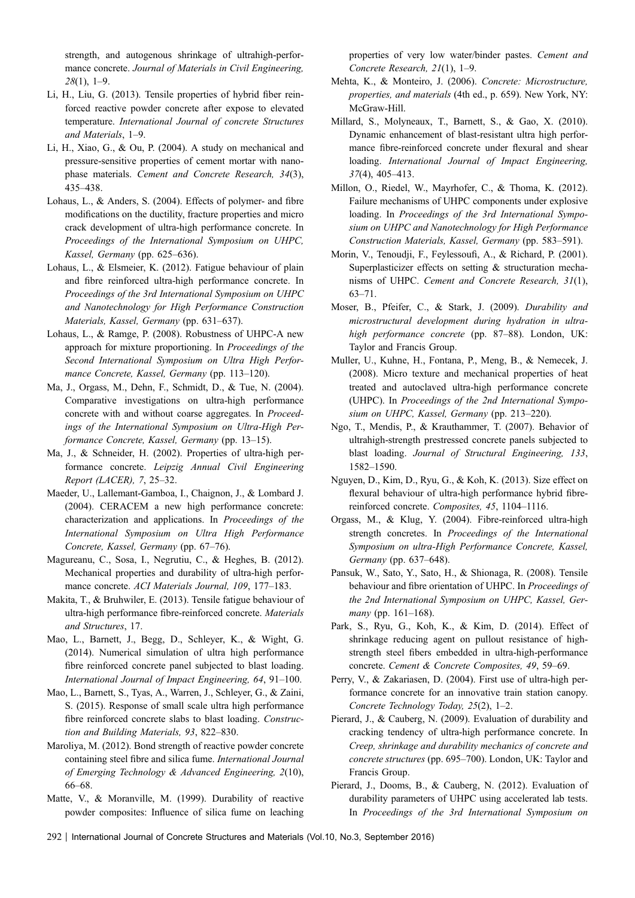<span id="page-21-0"></span>strength, and autogenous shrinkage of ultrahigh-performance concrete. *Journal of Materials in Civil Engineering, 28*(1), 1–9.

- Li, H., Liu, G. (2013). Tensile properties of hybrid fiber reinforced reactive powder concrete after expose to elevated temperature. *International Journal of concrete Structures and Materials*, 1–9.
- Li, H., Xiao, G., & Ou, P. (2004). A study on mechanical and pressure-sensitive properties of cement mortar with nanophase materials. *Cement and Concrete Research, 34*(3), 435–438.
- Lohaus, L., & Anders, S. (2004). Effects of polymer- and fibre modifications on the ductility, fracture properties and micro crack development of ultra-high performance concrete. In *Proceedings of the International Symposium on UHPC, Kassel, Germany* (pp. 625–636).
- Lohaus, L., & Elsmeier, K. (2012). Fatigue behaviour of plain and fibre reinforced ultra-high performance concrete. In *Proceedings of the 3rd International Symposium on UHPC and Nanotechnology for High Performance Construction Materials, Kassel, Germany* (pp. 631–637).
- Lohaus, L., & Ramge, P. (2008). Robustness of UHPC-A new approach for mixture proportioning. In *Proceedings of the Second International Symposium on Ultra High Performance Concrete, Kassel, Germany* (pp. 113–120).
- Ma, J., Orgass, M., Dehn, F., Schmidt, D., & Tue, N. (2004). Comparative investigations on ultra-high performance concrete with and without coarse aggregates. In *Proceedings of the International Symposium on Ultra-High Performance Concrete, Kassel, Germany* (pp. 13–15).
- Ma, J., & Schneider, H. (2002). Properties of ultra-high performance concrete. *Leipzig Annual Civil Engineering Report (LACER), 7*, 25–32.
- Maeder, U., Lallemant-Gamboa, I., Chaignon, J., & Lombard J. (2004). CERACEM a new high performance concrete: characterization and applications. In *Proceedings of the International Symposium on Ultra High Performance Concrete, Kassel, Germany* (pp. 67–76).
- Magureanu, C., Sosa, I., Negrutiu, C., & Heghes, B. (2012). Mechanical properties and durability of ultra-high performance concrete. *ACI Materials Journal, 109*, 177–183.
- Makita, T., & Bruhwiler, E. (2013). Tensile fatigue behaviour of ultra-high performance fibre-reinforced concrete. *Materials and Structures*, 17.
- Mao, L., Barnett, J., Begg, D., Schleyer, K., & Wight, G. (2014). Numerical simulation of ultra high performance fibre reinforced concrete panel subjected to blast loading. *International Journal of Impact Engineering, 64*, 91–100.
- Mao, L., Barnett, S., Tyas, A., Warren, J., Schleyer, G., & Zaini, S. (2015). Response of small scale ultra high performance fibre reinforced concrete slabs to blast loading. *Construction and Building Materials, 93*, 822–830.
- Maroliya, M. (2012). Bond strength of reactive powder concrete containing steel fibre and silica fume. *International Journal of Emerging Technology & Advanced Engineering, 2*(10), 66–68.
- Matte, V., & Moranville, M. (1999). Durability of reactive powder composites: Influence of silica fume on leaching

properties of very low water/binder pastes. *Cement and Concrete Research, 21*(1), 1–9.

- Mehta, K., & Monteiro, J. (2006). *Concrete: Microstructure, properties, and materials* (4th ed., p. 659). New York, NY: McGraw-Hill.
- Millard, S., Molyneaux, T., Barnett, S., & Gao, X. (2010). Dynamic enhancement of blast-resistant ultra high performance fibre-reinforced concrete under flexural and shear loading. *International Journal of Impact Engineering, 37*(4), 405–413.
- Millon, O., Riedel, W., Mayrhofer, C., & Thoma, K. (2012). Failure mechanisms of UHPC components under explosive loading. In *Proceedings of the 3rd International Symposium on UHPC and Nanotechnology for High Performance Construction Materials, Kassel, Germany* (pp. 583–591).
- Morin, V., Tenoudji, F., Feylessoufi, A., & Richard, P. (2001). Superplasticizer effects on setting & structuration mechanisms of UHPC. *Cement and Concrete Research, 31*(1), 63–71.
- Moser, B., Pfeifer, C., & Stark, J. (2009). *Durability and microstructural development during hydration in ultrahigh performance concrete* (pp. 87–88). London, UK: Taylor and Francis Group.
- Muller, U., Kuhne, H., Fontana, P., Meng, B., & Nemecek, J. (2008). Micro texture and mechanical properties of heat treated and autoclaved ultra-high performance concrete (UHPC). In *Proceedings of the 2nd International Symposium on UHPC, Kassel, Germany* (pp. 213–220).
- Ngo, T., Mendis, P., & Krauthammer, T. (2007). Behavior of ultrahigh-strength prestressed concrete panels subjected to blast loading. *Journal of Structural Engineering, 133*, 1582–1590.
- Nguyen, D., Kim, D., Ryu, G., & Koh, K. (2013). Size effect on flexural behaviour of ultra-high performance hybrid fibrereinforced concrete. *Composites, 45*, 1104–1116.
- Orgass, M., & Klug, Y. (2004). Fibre-reinforced ultra-high strength concretes. In *Proceedings of the International Symposium on ultra-High Performance Concrete, Kassel, Germany* (pp. 637–648).
- Pansuk, W., Sato, Y., Sato, H., & Shionaga, R. (2008). Tensile behaviour and fibre orientation of UHPC. In *Proceedings of the 2nd International Symposium on UHPC, Kassel, Germany* (pp. 161–168).
- Park, S., Ryu, G., Koh, K., & Kim, D. (2014). Effect of shrinkage reducing agent on pullout resistance of highstrength steel fibers embedded in ultra-high-performance concrete. *Cement & Concrete Composites, 49*, 59–69.
- Perry, V., & Zakariasen, D. (2004). First use of ultra-high performance concrete for an innovative train station canopy. *Concrete Technology Today, 25*(2), 1–2.
- Pierard, J., & Cauberg, N. (2009). Evaluation of durability and cracking tendency of ultra-high performance concrete. In *Creep, shrinkage and durability mechanics of concrete and concrete structures* (pp. 695–700). London, UK: Taylor and Francis Group.
- Pierard, J., Dooms, B., & Cauberg, N. (2012). Evaluation of durability parameters of UHPC using accelerated lab tests. In *Proceedings of the 3rd International Symposium on*
- 292 | International Journal of Concrete Structures and Materials (Vol.10, No.3, September 2016)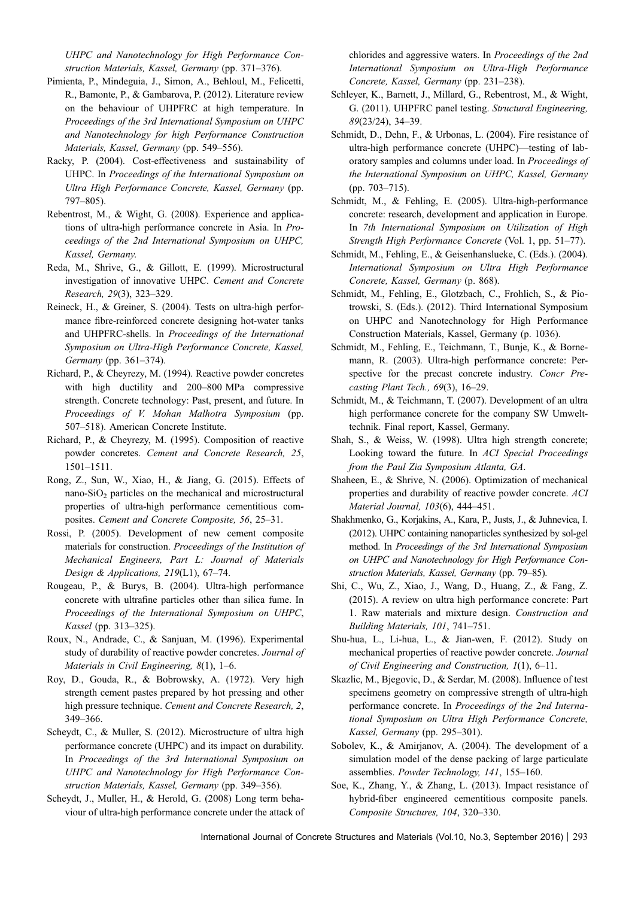<span id="page-22-0"></span>*UHPC and Nanotechnology for High Performance Construction Materials, Kassel, Germany* (pp. 371–376).

- Pimienta, P., Mindeguia, J., Simon, A., Behloul, M., Felicetti, R., Bamonte, P., & Gambarova, P. (2012). Literature review on the behaviour of UHPFRC at high temperature. In *Proceedings of the 3rd International Symposium on UHPC and Nanotechnology for high Performance Construction Materials, Kassel, Germany* (pp. 549–556).
- Racky, P. (2004). Cost-effectiveness and sustainability of UHPC. In *Proceedings of the International Symposium on Ultra High Performance Concrete, Kassel, Germany* (pp. 797–805).
- Rebentrost, M., & Wight, G. (2008). Experience and applications of ultra-high performance concrete in Asia. In *Proceedings of the 2nd International Symposium on UHPC, Kassel, Germany*.
- Reda, M., Shrive, G., & Gillott, E. (1999). Microstructural investigation of innovative UHPC. *Cement and Concrete Research, 29*(3), 323–329.
- Reineck, H., & Greiner, S. (2004). Tests on ultra-high performance fibre-reinforced concrete designing hot-water tanks and UHPFRC-shells. In *Proceedings of the International Symposium on Ultra-High Performance Concrete, Kassel, Germany* (pp. 361–374).
- Richard, P., & Cheyrezy, M. (1994). Reactive powder concretes with high ductility and 200–800 MPa compressive strength. Concrete technology: Past, present, and future. In *Proceedings of V. Mohan Malhotra Symposium* (pp. 507–518). American Concrete Institute.
- Richard, P., & Cheyrezy, M. (1995). Composition of reactive powder concretes. *Cement and Concrete Research, 25*, 1501–1511.
- Rong, Z., Sun, W., Xiao, H., & Jiang, G. (2015). Effects of nano-SiO<sub>2</sub> particles on the mechanical and microstructural properties of ultra-high performance cementitious composites. *Cement and Concrete Composite, 56*, 25–31.
- Rossi, P. (2005). Development of new cement composite materials for construction. *Proceedings of the Institution of Mechanical Engineers, Part L: Journal of Materials Design & Applications, 219*(L1), 67–74.
- Rougeau, P., & Burys, B. (2004). Ultra-high performance concrete with ultrafine particles other than silica fume. In *Proceedings of the International Symposium on UHPC*, *Kassel* (pp. 313–325).
- Roux, N., Andrade, C., & Sanjuan, M. (1996). Experimental study of durability of reactive powder concretes. *Journal of Materials in Civil Engineering, 8*(1), 1–6.
- Roy, D., Gouda, R., & Bobrowsky, A. (1972). Very high strength cement pastes prepared by hot pressing and other high pressure technique. *Cement and Concrete Research, 2*, 349–366.
- Scheydt, C., & Muller, S. (2012). Microstructure of ultra high performance concrete (UHPC) and its impact on durability. In *Proceedings of the 3rd International Symposium on UHPC and Nanotechnology for High Performance Construction Materials, Kassel, Germany* (pp. 349–356).
- Scheydt, J., Muller, H., & Herold, G. (2008) Long term behaviour of ultra-high performance concrete under the attack of

chlorides and aggressive waters. In *Proceedings of the 2nd International Symposium on Ultra-High Performance Concrete, Kassel, Germany* (pp. 231–238).

- Schleyer, K., Barnett, J., Millard, G., Rebentrost, M., & Wight, G. (2011). UHPFRC panel testing. *Structural Engineering, 89*(23/24), 34–39.
- Schmidt, D., Dehn, F., & Urbonas, L. (2004). Fire resistance of ultra-high performance concrete (UHPC)—testing of laboratory samples and columns under load. In *Proceedings of the International Symposium on UHPC, Kassel, Germany* (pp. 703–715).
- Schmidt, M., & Fehling, E. (2005). Ultra-high-performance concrete: research, development and application in Europe. In *7th International Symposium on Utilization of High Strength High Performance Concrete* (Vol. 1, pp. 51–77).
- Schmidt, M., Fehling, E., & Geisenhanslueke, C. (Eds.). (2004). *International Symposium on Ultra High Performance Concrete, Kassel, Germany* (p. 868).
- Schmidt, M., Fehling, E., Glotzbach, C., Frohlich, S., & Piotrowski, S. (Eds.). (2012). Third International Symposium on UHPC and Nanotechnology for High Performance Construction Materials, Kassel, Germany (p. 1036).
- Schmidt, M., Fehling, E., Teichmann, T., Bunje, K., & Bornemann, R. (2003). Ultra-high performance concrete: Perspective for the precast concrete industry. *Concr Precasting Plant Tech., 69*(3), 16–29.
- Schmidt, M., & Teichmann, T. (2007). Development of an ultra high performance concrete for the company SW Umwelttechnik. Final report, Kassel, Germany.
- Shah, S., & Weiss, W. (1998). Ultra high strength concrete; Looking toward the future. In *ACI Special Proceedings from the Paul Zia Symposium Atlanta, GA*.
- Shaheen, E., & Shrive, N. (2006). Optimization of mechanical properties and durability of reactive powder concrete. *ACI Material Journal, 103*(6), 444–451.
- Shakhmenko, G., Korjakins, A., Kara, P., Justs, J., & Juhnevica, I. (2012). UHPC containing nanoparticles synthesized by sol-gel method. In *Proceedings of the 3rd International Symposium on UHPC and Nanotechnology for High Performance Construction Materials, Kassel, Germany* (pp. 79–85).
- Shi, C., Wu, Z., Xiao, J., Wang, D., Huang, Z., & Fang, Z. (2015). A review on ultra high performance concrete: Part 1. Raw materials and mixture design. *Construction and Building Materials, 101*, 741–751.
- Shu-hua, L., Li-hua, L., & Jian-wen, F. (2012). Study on mechanical properties of reactive powder concrete. *Journal of Civil Engineering and Construction, 1*(1), 6–11.
- Skazlic, M., Bjegovic, D., & Serdar, M. (2008). Influence of test specimens geometry on compressive strength of ultra-high performance concrete. In *Proceedings of the 2nd International Symposium on Ultra High Performance Concrete, Kassel, Germany* (pp. 295–301).
- Sobolev, K., & Amirjanov, A. (2004). The development of a simulation model of the dense packing of large particulate assemblies. *Powder Technology, 141*, 155–160.
- Soe, K., Zhang, Y., & Zhang, L. (2013). Impact resistance of hybrid-fiber engineered cementitious composite panels. *Composite Structures, 104*, 320–330.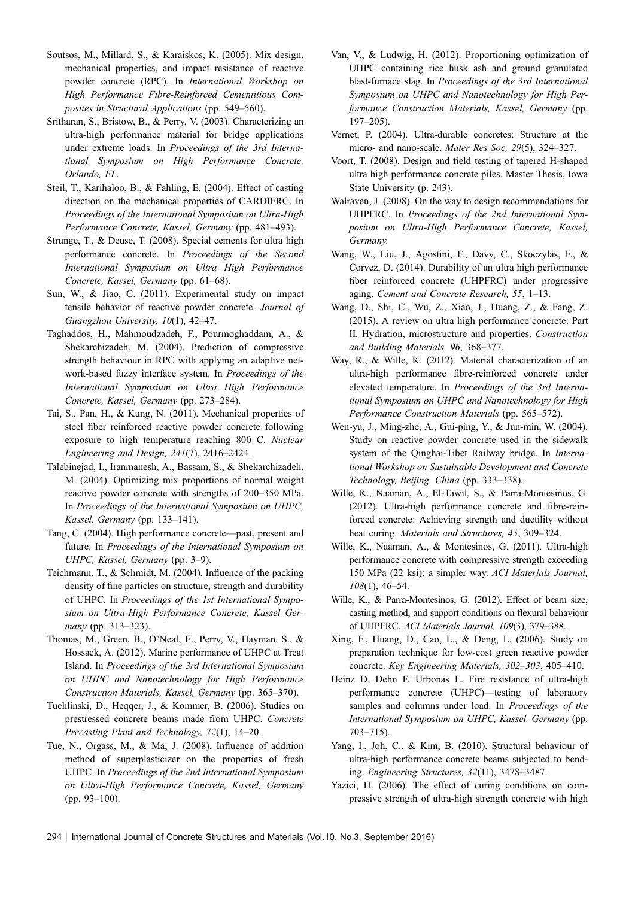- <span id="page-23-0"></span>Soutsos, M., Millard, S., & Karaiskos, K. (2005). Mix design, mechanical properties, and impact resistance of reactive powder concrete (RPC). In *International Workshop on High Performance Fibre-Reinforced Cementitious Composites in Structural Applications* (pp. 549–560).
- Sritharan, S., Bristow, B., & Perry, V. (2003). Characterizing an ultra-high performance material for bridge applications under extreme loads. In *Proceedings of the 3rd International Symposium on High Performance Concrete, Orlando, FL*.
- Steil, T., Karihaloo, B., & Fahling, E. (2004). Effect of casting direction on the mechanical properties of CARDIFRC. In *Proceedings of the International Symposium on Ultra-High Performance Concrete, Kassel, Germany* (pp. 481–493).
- Strunge, T., & Deuse, T. (2008). Special cements for ultra high performance concrete. In *Proceedings of the Second International Symposium on Ultra High Performance Concrete, Kassel, Germany* (pp. 61–68).
- Sun, W., & Jiao, C. (2011). Experimental study on impact tensile behavior of reactive powder concrete. *Journal of Guangzhou University, 10*(1), 42–47.
- Taghaddos, H., Mahmoudzadeh, F., Pourmoghaddam, A., & Shekarchizadeh, M. (2004). Prediction of compressive strength behaviour in RPC with applying an adaptive network-based fuzzy interface system. In *Proceedings of the International Symposium on Ultra High Performance Concrete, Kassel, Germany* (pp. 273–284).
- Tai, S., Pan, H., & Kung, N. (2011). Mechanical properties of steel fiber reinforced reactive powder concrete following exposure to high temperature reaching 800 C. *Nuclear Engineering and Design, 241*(7), 2416–2424.
- Talebinejad, I., Iranmanesh, A., Bassam, S., & Shekarchizadeh, M. (2004). Optimizing mix proportions of normal weight reactive powder concrete with strengths of 200–350 MPa. In *Proceedings of the International Symposium on UHPC, Kassel, Germany* (pp. 133–141).
- Tang, C. (2004). High performance concrete—past, present and future. In *Proceedings of the International Symposium on UHPC, Kassel, Germany* (pp. 3–9).
- Teichmann, T., & Schmidt, M. (2004). Influence of the packing density of fine particles on structure, strength and durability of UHPC. In *Proceedings of the 1st International Symposium on Ultra-High Performance Concrete, Kassel Germany* (pp. 313–323).
- Thomas, M., Green, B., O'Neal, E., Perry, V., Hayman, S., & Hossack, A. (2012). Marine performance of UHPC at Treat Island. In *Proceedings of the 3rd International Symposium on UHPC and Nanotechnology for High Performance Construction Materials, Kassel, Germany* (pp. 365–370).
- Tuchlinski, D., Heqqer, J., & Kommer, B. (2006). Studies on prestressed concrete beams made from UHPC. *Concrete Precasting Plant and Technology, 72*(1), 14–20.
- Tue, N., Orgass, M., & Ma, J. (2008). Influence of addition method of superplasticizer on the properties of fresh UHPC. In *Proceedings of the 2nd International Symposium on Ultra-High Performance Concrete, Kassel, Germany* (pp. 93–100).
- Van, V., & Ludwig, H. (2012). Proportioning optimization of UHPC containing rice husk ash and ground granulated blast-furnace slag. In *Proceedings of the 3rd International Symposium on UHPC and Nanotechnology for High Performance Construction Materials, Kassel, Germany* (pp. 197–205).
- Vernet, P. (2004). Ultra-durable concretes: Structure at the micro- and nano-scale. *Mater Res Soc, 29*(5), 324–327.
- Voort, T. (2008). Design and field testing of tapered H-shaped ultra high performance concrete piles. Master Thesis, Iowa State University (p. 243).
- Walraven, J. (2008). On the way to design recommendations for UHPFRC. In *Proceedings of the 2nd International Symposium on Ultra-High Performance Concrete, Kassel, Germany.*
- Wang, W., Liu, J., Agostini, F., Davy, C., Skoczylas, F., & Corvez, D. (2014). Durability of an ultra high performance fiber reinforced concrete (UHPFRC) under progressive aging. *Cement and Concrete Research, 55*, 1–13.
- Wang, D., Shi, C., Wu, Z., Xiao, J., Huang, Z., & Fang, Z. (2015). A review on ultra high performance concrete: Part II. Hydration, microstructure and properties. *Construction and Building Materials, 96*, 368–377.
- Way, R., & Wille, K. (2012). Material characterization of an ultra-high performance fibre-reinforced concrete under elevated temperature. In *Proceedings of the 3rd International Symposium on UHPC and Nanotechnology for High Performance Construction Materials* (pp. 565–572).
- Wen-yu, J., Ming-zhe, A., Gui-ping, Y., & Jun-min, W. (2004). Study on reactive powder concrete used in the sidewalk system of the Qinghai-Tibet Railway bridge. In *International Workshop on Sustainable Development and Concrete Technology, Beijing, China* (pp. 333–338).
- Wille, K., Naaman, A., El-Tawil, S., & Parra-Montesinos, G. (2012). Ultra-high performance concrete and fibre-reinforced concrete: Achieving strength and ductility without heat curing. *Materials and Structures, 45*, 309–324.
- Wille, K., Naaman, A., & Montesinos, G. (2011). Ultra-high performance concrete with compressive strength exceeding 150 MPa (22 ksi): a simpler way. *ACI Materials Journal, 108*(1), 46–54.
- Wille, K., & Parra-Montesinos, G. (2012). Effect of beam size, casting method, and support conditions on flexural behaviour of UHPFRC. *ACI Materials Journal, 109*(3), 379–388.
- Xing, F., Huang, D., Cao, L., & Deng, L. (2006). Study on preparation technique for low-cost green reactive powder concrete. *Key Engineering Materials, 302–303*, 405–410.
- Heinz D, Dehn F, Urbonas L. Fire resistance of ultra-high performance concrete (UHPC)—testing of laboratory samples and columns under load. In *Proceedings of the International Symposium on UHPC, Kassel, Germany* (pp. 703–715).
- Yang, I., Joh, C., & Kim, B. (2010). Structural behaviour of ultra-high performance concrete beams subjected to bending. *Engineering Structures, 32*(11), 3478–3487.
- Yazici, H. (2006). The effect of curing conditions on compressive strength of ultra-high strength concrete with high